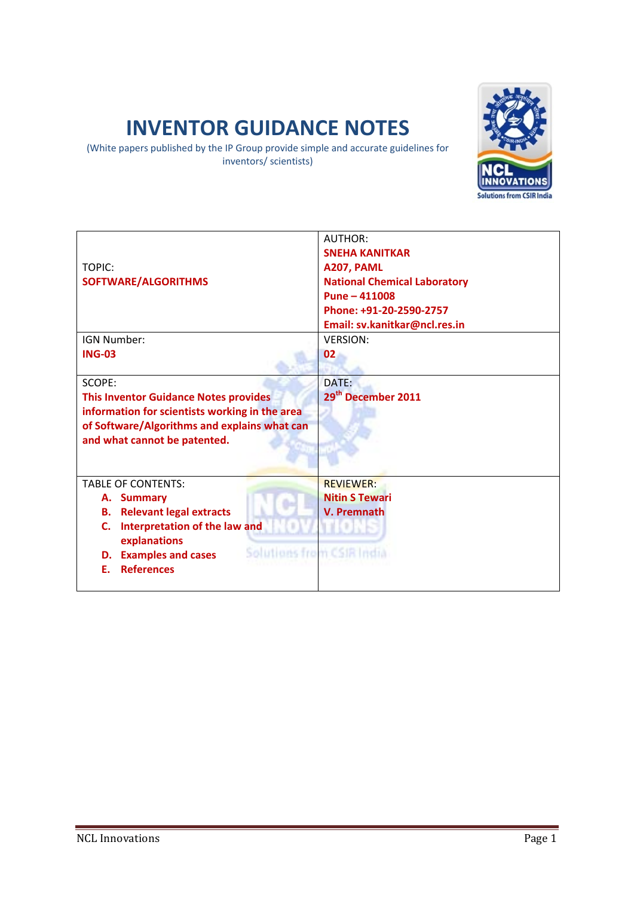# **INVENTOR GUIDANCE NOTES**

(White papers published by the IP Group provide simple and accurate guidelines for inventors/ scientists)



|                                                              | <b>AUTHOR:</b>                      |
|--------------------------------------------------------------|-------------------------------------|
|                                                              | <b>SNEHA KANITKAR</b>               |
| TOPIC:                                                       | A207, PAML                          |
| SOFTWARE/ALGORITHMS                                          | <b>National Chemical Laboratory</b> |
|                                                              | Pune $-411008$                      |
|                                                              | Phone: +91-20-2590-2757             |
|                                                              | Email: sv.kanitkar@ncl.res.in       |
| IGN Number:                                                  | <b>VERSION:</b>                     |
| <b>ING-03</b>                                                | 02                                  |
|                                                              |                                     |
| SCOPE:                                                       | DATE:                               |
| <b>This Inventor Guidance Notes provides</b>                 | 29 <sup>th</sup> December 2011      |
| information for scientists working in the area               |                                     |
| of Software/Algorithms and explains what can                 |                                     |
| and what cannot be patented.                                 |                                     |
|                                                              |                                     |
|                                                              |                                     |
| <b>TABLE OF CONTENTS:</b>                                    | <b>RFVIFWFR:</b>                    |
| A. Summary                                                   | <b>Nitin S Tewari</b>               |
| <b>Relevant legal extracts</b><br>В.                         | V. Premnath                         |
| Interpretation of the law and<br>C.                          |                                     |
| explanations                                                 |                                     |
| Solutions from CSIR India<br><b>Examples and cases</b><br>D. |                                     |
| <b>References</b><br>F.                                      |                                     |
|                                                              |                                     |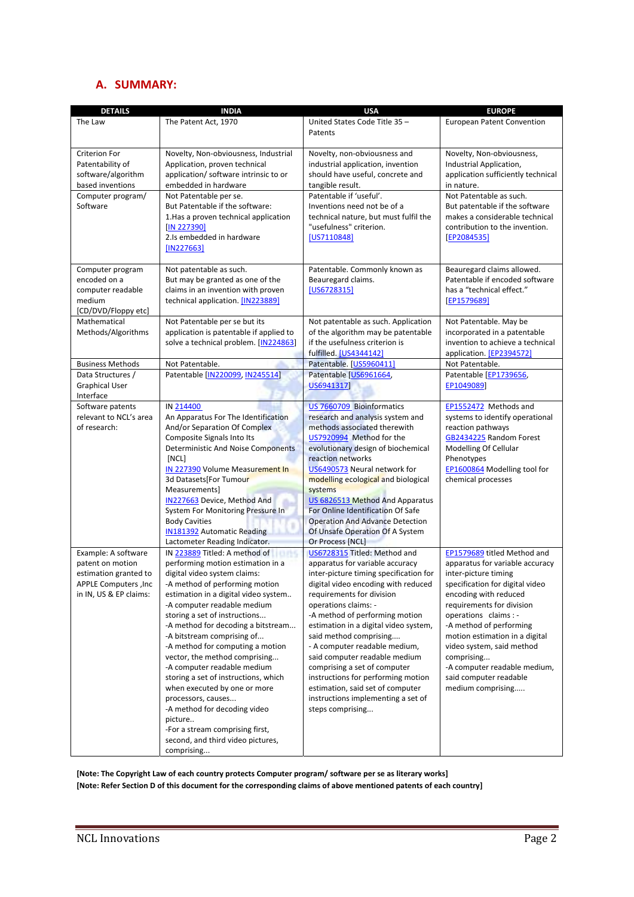### **A. SUMMARY:**

| <b>DETAILS</b>                                                                                                      | <b>INDIA</b>                                                                                                                                                                                                                                                                                                                                                                                                                                                                                                                                                                                                                                                | <b>USA</b>                                                                                                                                                                                                                                                                                                                                                                                                                                                                                                                                       | <b>EUROPE</b>                                                                                                                                                                                                                                                                                                                                                                                   |  |
|---------------------------------------------------------------------------------------------------------------------|-------------------------------------------------------------------------------------------------------------------------------------------------------------------------------------------------------------------------------------------------------------------------------------------------------------------------------------------------------------------------------------------------------------------------------------------------------------------------------------------------------------------------------------------------------------------------------------------------------------------------------------------------------------|--------------------------------------------------------------------------------------------------------------------------------------------------------------------------------------------------------------------------------------------------------------------------------------------------------------------------------------------------------------------------------------------------------------------------------------------------------------------------------------------------------------------------------------------------|-------------------------------------------------------------------------------------------------------------------------------------------------------------------------------------------------------------------------------------------------------------------------------------------------------------------------------------------------------------------------------------------------|--|
| The Law                                                                                                             | The Patent Act, 1970                                                                                                                                                                                                                                                                                                                                                                                                                                                                                                                                                                                                                                        | United States Code Title 35-<br>Patents                                                                                                                                                                                                                                                                                                                                                                                                                                                                                                          | <b>European Patent Convention</b>                                                                                                                                                                                                                                                                                                                                                               |  |
| <b>Criterion For</b><br>Patentability of<br>software/algorithm<br>based inventions                                  | Novelty, Non-obviousness, Industrial<br>Application, proven technical<br>application/software intrinsic to or<br>embedded in hardware                                                                                                                                                                                                                                                                                                                                                                                                                                                                                                                       | Novelty, non-obviousness and<br>industrial application, invention<br>should have useful, concrete and<br>tangible result.                                                                                                                                                                                                                                                                                                                                                                                                                        | Novelty, Non-obviousness,<br>Industrial Application,<br>application sufficiently technical<br>in nature.                                                                                                                                                                                                                                                                                        |  |
| Computer program/<br>Software                                                                                       | Not Patentable per se.<br>But Patentable if the software:<br>1. Has a proven technical application<br>[IN 227390]<br>2.Is embedded in hardware<br>[IN227663]                                                                                                                                                                                                                                                                                                                                                                                                                                                                                                | Patentable if 'useful'.<br>Inventions need not be of a<br>technical nature, but must fulfil the<br>"usefulness" criterion.<br>[US7110848]                                                                                                                                                                                                                                                                                                                                                                                                        | Not Patentable as such.<br>But patentable if the software<br>makes a considerable technical<br>contribution to the invention.<br>[EP2084535]                                                                                                                                                                                                                                                    |  |
| Computer program<br>encoded on a<br>computer readable<br>medium<br>[CD/DVD/Floppy etc]                              | Not patentable as such.<br>But may be granted as one of the<br>claims in an invention with proven<br>technical application. [IN223889]                                                                                                                                                                                                                                                                                                                                                                                                                                                                                                                      | Patentable. Commonly known as<br>Beauregard claims.<br>[US6728315]                                                                                                                                                                                                                                                                                                                                                                                                                                                                               | Beauregard claims allowed.<br>Patentable if encoded software<br>has a "technical effect."<br>[EP1579689]                                                                                                                                                                                                                                                                                        |  |
| Mathematical<br>Methods/Algorithms                                                                                  | Not Patentable per se but its<br>application is patentable if applied to<br>solve a technical problem. [IN224863]                                                                                                                                                                                                                                                                                                                                                                                                                                                                                                                                           | Not patentable as such. Application<br>of the algorithm may be patentable<br>if the usefulness criterion is<br>fulfilled. [US4344142]                                                                                                                                                                                                                                                                                                                                                                                                            | Not Patentable. May be<br>incorporated in a patentable<br>invention to achieve a technical<br>application. [EP2394572]                                                                                                                                                                                                                                                                          |  |
| <b>Business Methods</b>                                                                                             | Not Patentable.                                                                                                                                                                                                                                                                                                                                                                                                                                                                                                                                                                                                                                             | Patentable. [US5960411]                                                                                                                                                                                                                                                                                                                                                                                                                                                                                                                          | Not Patentable.                                                                                                                                                                                                                                                                                                                                                                                 |  |
| Data Structures /<br><b>Graphical User</b><br>Interface                                                             | Patentable [IN220099, IN245514]                                                                                                                                                                                                                                                                                                                                                                                                                                                                                                                                                                                                                             | Patentable [US6961664,<br>US6941317]                                                                                                                                                                                                                                                                                                                                                                                                                                                                                                             | Patentable [EP1739656,<br>EP1049089]                                                                                                                                                                                                                                                                                                                                                            |  |
| Software patents<br>relevant to NCL's area<br>of research:                                                          | IN 214400<br>An Apparatus For The Identification<br>And/or Separation Of Complex<br>Composite Signals Into Its<br><b>Deterministic And Noise Components</b><br>[NCL]<br>IN 227390 Volume Measurement In<br>3d Datasets For Tumour<br>Measurements]<br>IN227663 Device, Method And<br>System For Monitoring Pressure In<br><b>Body Cavities</b><br><b>IN181392</b> Automatic Reading<br>Lactometer Reading Indicator.                                                                                                                                                                                                                                        | US 7660709 Bioinformatics<br>research and analysis system and<br>methods associated therewith<br>US7920994 Method for the<br>evolutionary design of biochemical<br>reaction networks<br>US6490573 Neural network for<br>modelling ecological and biological<br>systems<br>US 6826513 Method And Apparatus<br>For Online Identification Of Safe<br><b>Operation And Advance Detection</b><br>Of Unsafe Operation Of A System<br>Or Process [NCL]                                                                                                  | EP1552472 Methods and<br>systems to identify operational<br>reaction pathways<br>GB2434225 Random Forest<br>Modelling Of Cellular<br>Phenotypes<br>EP1600864 Modelling tool for<br>chemical processes                                                                                                                                                                                           |  |
| Example: A software<br>patent on motion<br>estimation granted to<br>APPLE Computers , Inc<br>in IN, US & EP claims: | IN 223889 Titled: A method of<br>3519<br>performing motion estimation in a<br>digital video system claims:<br>-A method of performing motion<br>estimation in a digital video system<br>-A computer readable medium<br>storing a set of instructions<br>-A method for decoding a bitstream<br>-A bitstream comprising of<br>-A method for computing a motion<br>vector, the method comprising<br>-A computer readable medium<br>storing a set of instructions, which<br>when executed by one or more<br>processors, causes<br>-A method for decoding video<br>picture<br>-For a stream comprising first,<br>second, and third video pictures,<br>comprising | US6728315 Titled: Method and<br>apparatus for variable accuracy<br>inter-picture timing specification for<br>digital video encoding with reduced<br>requirements for division<br>operations claims: -<br>-A method of performing motion<br>estimation in a digital video system,<br>said method comprising<br>- A computer readable medium,<br>said computer readable medium<br>comprising a set of computer<br>instructions for performing motion<br>estimation, said set of computer<br>instructions implementing a set of<br>steps comprising | EP1579689 titled Method and<br>apparatus for variable accuracy<br>inter-picture timing<br>specification for digital video<br>encoding with reduced<br>requirements for division<br>operations claims : -<br>-A method of performing<br>motion estimation in a digital<br>video system, said method<br>comprising<br>-A computer readable medium,<br>said computer readable<br>medium comprising |  |

**[Note: The Copyright Law of each country protects Computer program/ software per se as literary works]** [Note: Refer Section D of this document for the corresponding claims of above mentioned patents of each country]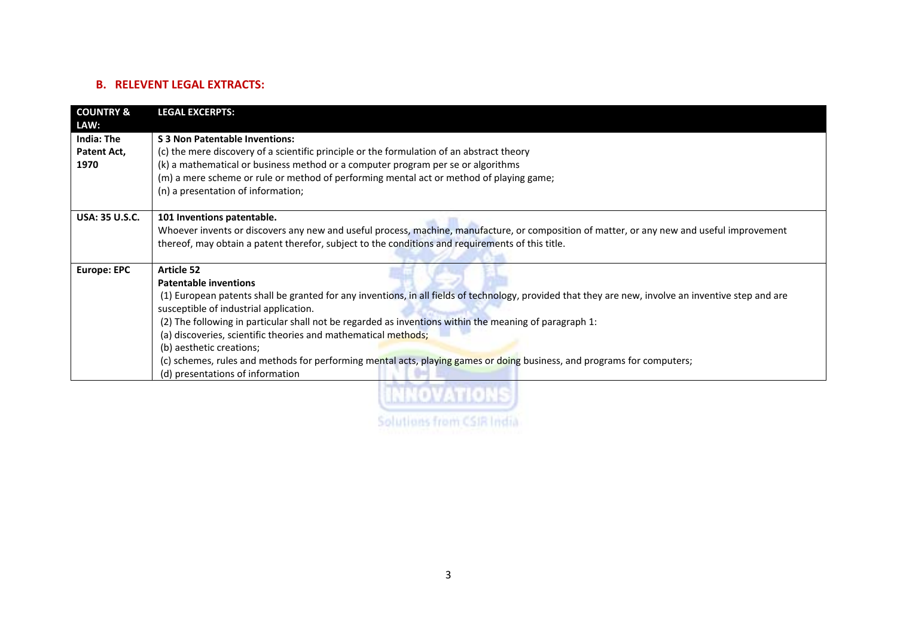### **B. RELEVENT LEGAL EXTRACTS:**

| <b>COUNTRY &amp;</b>                             | <b>LEGAL EXCERPTS:</b>                                                                                                                                                                                                                                                                                                                                                                                                                                                                                                                                                                                                     |
|--------------------------------------------------|----------------------------------------------------------------------------------------------------------------------------------------------------------------------------------------------------------------------------------------------------------------------------------------------------------------------------------------------------------------------------------------------------------------------------------------------------------------------------------------------------------------------------------------------------------------------------------------------------------------------------|
| LAW:<br><b>India: The</b><br>Patent Act,<br>1970 | S 3 Non Patentable Inventions:<br>(c) the mere discovery of a scientific principle or the formulation of an abstract theory<br>(k) a mathematical or business method or a computer program per se or algorithms<br>(m) a mere scheme or rule or method of performing mental act or method of playing game;<br>(n) a presentation of information;                                                                                                                                                                                                                                                                           |
| <b>USA: 35 U.S.C.</b>                            | 101 Inventions patentable.<br>Whoever invents or discovers any new and useful process, machine, manufacture, or composition of matter, or any new and useful improvement<br>thereof, may obtain a patent therefor, subject to the conditions and requirements of this title.                                                                                                                                                                                                                                                                                                                                               |
| <b>Europe: EPC</b>                               | <b>Article 52</b><br><b>Patentable inventions</b><br>(1) European patents shall be granted for any inventions, in all fields of technology, provided that they are new, involve an inventive step and are<br>susceptible of industrial application.<br>(2) The following in particular shall not be regarded as inventions within the meaning of paragraph 1:<br>(a) discoveries, scientific theories and mathematical methods;<br>(b) aesthetic creations;<br>(c) schemes, rules and methods for performing mental acts, playing games or doing business, and programs for computers;<br>(d) presentations of information |

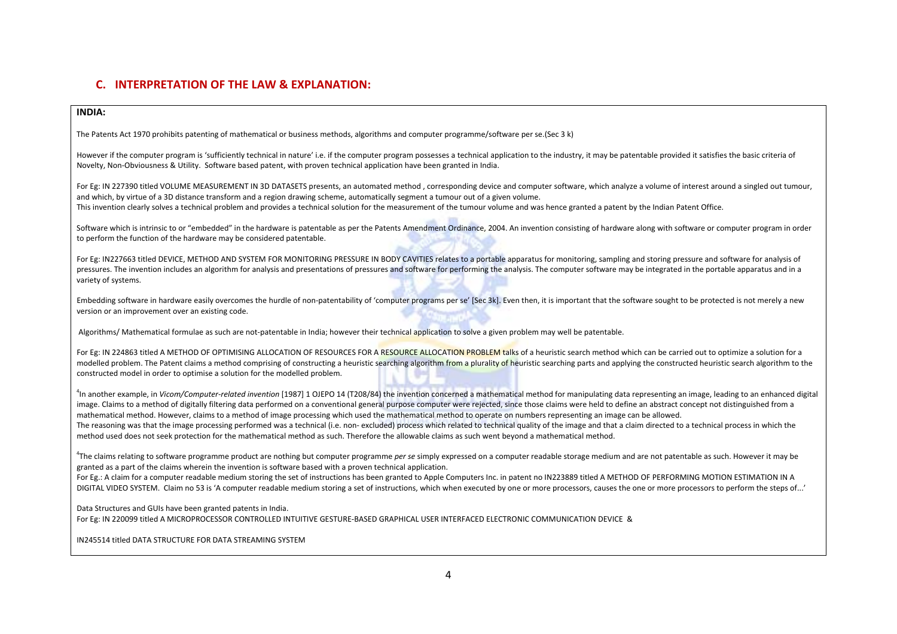### **C. INTERPRETATION OF THE LAW & EXPLANATION:**

#### **INDIA:**

The Patents Act 1970 prohibits patenting of mathematical or business methods, algorithms and computer programme/software per se.(Sec 3 k)

However if the computer program is 'sufficiently technical in nature' i.e. if the computer program possesses a technical application to the industry, it may be patentable provided it satisfies the basic criteria of Novelty, Non‐Obviousness & Utility. Software based patent, with proven technical application have been granted in India.

For Eg: IN 227390 titled VOLUME MEASUREMENT IN 3D DATASETS presents, an automated method , corresponding device and computer software, which analyze <sup>a</sup> volume of interest around <sup>a</sup> singled out tumour, and which, by virtue of <sup>a</sup> 3D distance transform and <sup>a</sup> region drawing scheme, automatically segment <sup>a</sup> tumour out of <sup>a</sup> given volume. This invention clearly solves <sup>a</sup> technical problem and provides <sup>a</sup> technical solution for the measurement of the tumour volume and was hence granted <sup>a</sup> patent by the Indian Patent Office.

Software which is intrinsic to or "embedded" in the hardware is patentable as per the Patents Amendment Ordinance, 2004. An invention consisting of hardware along with software or computer program in order to perform the function of the hardware may be considered patentable.

For Eg: IN227663 titled DEVICE, METHOD AND SYSTEM FOR MONITORING PRESSURE IN BODY CAVITIES relates to a portable apparatus for monitoring, sampling and storing pressure and software for analysis of pressures. The invention includes an algorithm for analysis and presentations of pressures and software for performing the analysis. The computer software may be integrated in the portable apparatus and in a variety of systems.

Embedding software in hardware easily overcomes the hurdle of non-patentability of 'computer programs per se' [Sec 3k]. Even then, it is important that the software sought to be protected is not merely a new version or an improvement over an existing code.

Algorithms/ Mathematical formulae as such are not-patentable in India; however their technical application to solve a given problem may well be patentable.

For Eg: IN 224863 titled A METHOD OF OPTIMISING ALLOCATION OF RESOURCES FOR A RESOURCE ALLOCATION PROBLEM talks of a heuristic search method which can be carried out to optimize a solution for a modelled problem. The Patent claims a method comprising of constructing a heuristic searching algorithm from a plurality of heuristic searching parts and applying the constructed heuristic search algorithm to the constructed model in order to optimise <sup>a</sup> solution for the modelled problem.

<sup>4</sup>In another example, in Vicom/Computer-related invention [1987] 1 OJEPO 14 (T208/84) the invention concerned a mathematical method for manipulating data representing an image, leading to an enhanced digital image. Claims to a method of digitally filtering data performed on a conventional general purpose computer were rejected, since those claims were held to define an abstract concept not distinguished from a mathematical method. However, claims to <sup>a</sup> method of image processing which used the mathematical method to operate on numbers representing an image can be allowed. The reasoning was that the image processing performed was a technical (i.e. non-excluded) process which related to technical quality of the image and that a claim directed to a technical process in which the method used does not seek protection for the mathematical method as such. Therefore the allowable claims as such went beyond <sup>a</sup> mathematical method.

4The claims relating to software programme product are nothing but computer programme *per se* simply expressed on <sup>a</sup> computer readable storage medium and are not patentable as such. However it may be granted as <sup>a</sup> part of the claims wherein the invention is software based with <sup>a</sup> proven technical application.

For Eg.: A claim for a computer readable medium storing the set of instructions has been granted to Apple Computers Inc. in patent no IN223889 titled A METHOD OF PERFORMING MOTION ESTIMATION IN A DIGITAL VIDEO SYSTEM. Claim no 53 is 'A computer readable medium storing <sup>a</sup> set of instructions, which when executed by one or more processors, causes the one or more processors to perform the steps of...'

Data Structures and GUIs have been granted patents in India.

For Eg: IN 220099 titled A MICROPROCESSOR CONTROLLED INTUITIVE GESTURE‐BASED GRAPHICAL USER INTERFACED ELECTRONIC COMMUNICATION DEVICE &

IN245514 titled DATA STRUCTURE FOR DATA STREAMING SYSTEM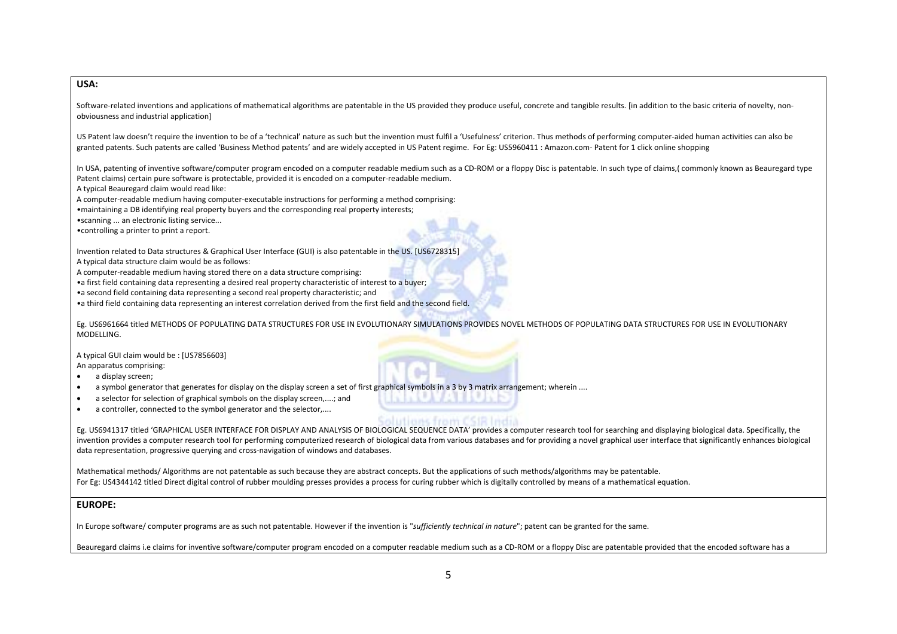#### **USA:**

Software-related inventions and applications of mathematical algorithms are patentable in the US provided they produce useful, concrete and tangible results. [in addition to the basic criteria of novelty, non‐ obviousness and industrial application]

US Patent law doesn't require the invention to be of <sup>a</sup> 'technical' nature as such but the invention must fulfil <sup>a</sup> 'Usefulness' criterion. Thus methods of performing computer‐aided human activities can also be granted patents. Such patents are called 'Business Method patents' and are widely accepted in US Patent regime. For Eg: US5960411 : Amazon.com‐ Patent for 1 click online shopping

In USA, patenting of inventive software/computer program encoded on a computer readable medium such as a CD‐ROM or a floppy Disc is patentable. In such type of claims,( commonly known as Beauregard type Patent claims) certain pure software is protectable, provided it is encoded on <sup>a</sup> computer‐readable medium.

A typical Beauregard claim would read like:

A computer‐readable medium having computer‐executable instructions for performing <sup>a</sup> method comprising:

•maintaining <sup>a</sup> DB identifying real property buyers and the corresponding real property interests;

•scanning ... an electronic listing service...

•controlling <sup>a</sup> printer to print <sup>a</sup> report.

Invention related to Data structures & Graphical User Interface (GUI) is also patentable in the US. [US6728315]

A typical data structure claim would be as follows:

A computer‐readable medium having stored there on <sup>a</sup> data structure comprising:

•a first field containing data representing <sup>a</sup> desired real property characteristic of interest to <sup>a</sup> buyer;

•a second field containing data representing <sup>a</sup> second real property characteristic; and

•a third field containing data representing an interest correlation derived from the first field and the second field.

Eg. US6961664 titled METHODS OF POPULATING DATA STRUCTURES FOR USE IN EVOLUTIONARY SIMULATIONS PROVIDES NOVEL METHODS OF POPULATING DATA STRUCTURES FOR USE IN EVOLUTIONARY MODELLING.

A typical GUI claim would be : [US7856603] An apparatus comprising:

•• a display screen;

- •a symbol generator that generates for display on the display screen <sup>a</sup> set of first graphical symbols in <sup>a</sup> 3 by 3 matrix arrangement; wherein ....
- •• a selector for selection of graphical symbols on the display screen,....; and
- •• a controller, connected to the symbol generator and the selector,....

Eg. US6941317 titled 'GRAPHICAL USER INTERFACE FOR DISPLAY AND ANALYSIS OF BIOLOGICAL SEQUENCE DATA' provides <sup>a</sup> computer research tool for searching and displaying biological data. Specifically, the invention provides <sup>a</sup> computer research tool for performing computerized research of biological data from various databases and for providing <sup>a</sup> novel graphical user interface that significantly enhances biological data representation, progressive querying and cross‐navigation of windows and databases.

Mathematical methods/ Algorithms are not patentable as such because they are abstract concepts. But the applications of such methods/algorithms may be patentable. For Eg: US4344142 titled Direct digital control of rubber moulding presses provides <sup>a</sup> process for curing rubber which is digitally controlled by means of <sup>a</sup> mathematical equation.

#### **EUROPE:**

In Europe software/ computer programs are as such not patentable. However if the invention is "*sufficiently technical in nature*"; patent can be granted for the same.

Beauregard claims i.e claims for inventive software/computer program encoded on a computer readable medium such as a CD-ROM or a floppy Disc are patentable provided that the encoded software has a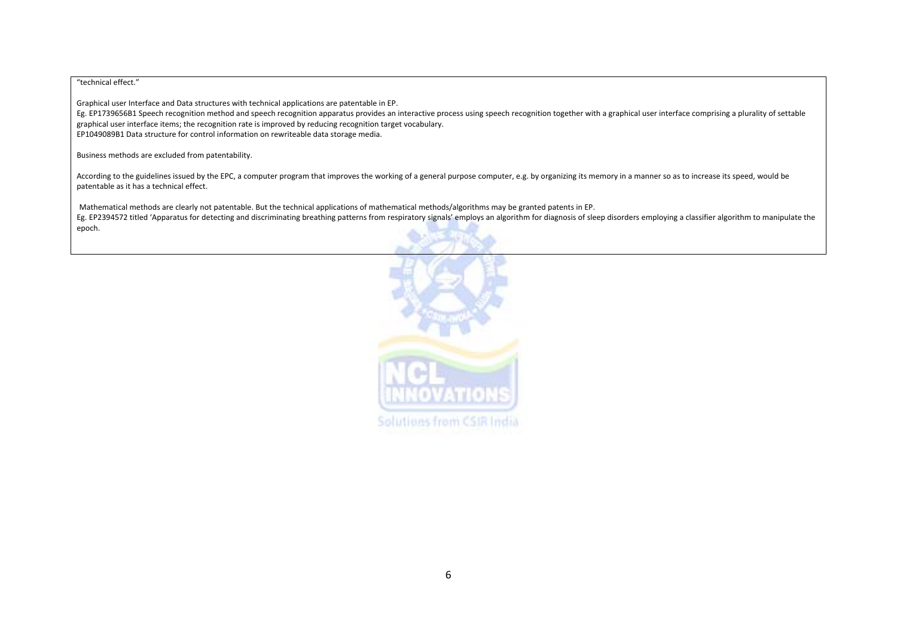#### "technical effect."

Graphical user Interface and Data structures with technical applications are patentable in EP.

Eg. EP1739656B1 Speech recognition method and speech recognition apparatus provides an interactive process using speech recognition together with a graphical user interface comprising a plurality of settable graphical user interface items; the recognition rate is improved by reducing recognition target vocabulary. EP1049089B1 Data structure for control information on rewriteable data storage media.

Business methods are excluded from patentability.

According to the guidelines issued by the EPC, a computer program that improves the working of a general purpose computer, e.g. by organizing its memory in a manner so as to increase its speed, would be patentable as it has <sup>a</sup> technical effect.

Mathematical methods are clearly not patentable. But the technical applications of mathematical methods/algorithms may be granted patents in EP. Eg. EP2394572 titled 'Apparatus for detecting and discriminating breathing patterns from respiratory signals' employs an algorithm for diagnosis of sleep disorders employing <sup>a</sup> classifier algorithm to manipulate the epoch.

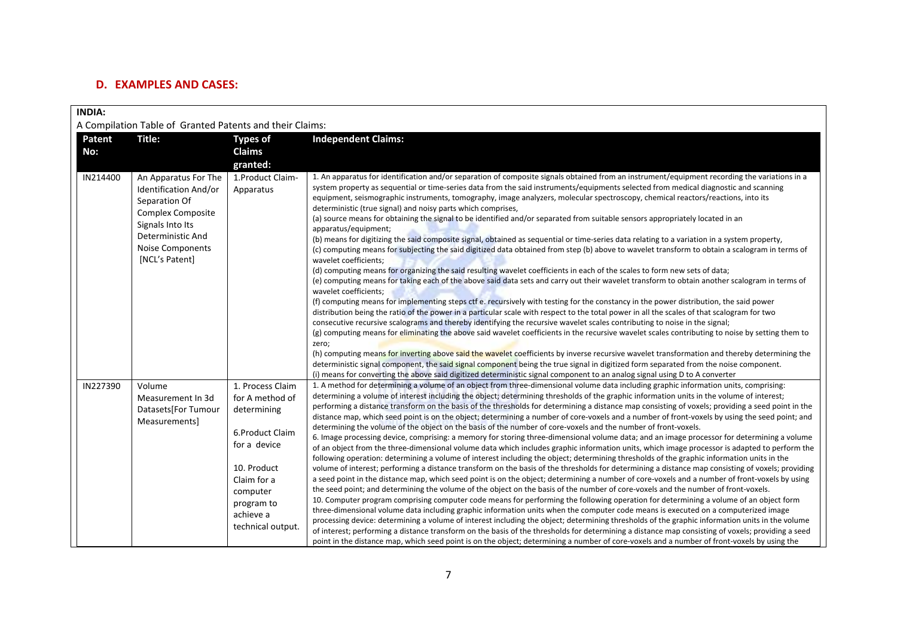### **D. EXAMPLES AND CASES:**

| <b>INDIA:</b>                                            |                                                                                                                                                                                  |                                                                                                                                                                                 |                                                                                                                                                                                                                                                                                                                                                                                                                                                                                                                                                                                                                                                                                                                                                                                                                                                                                                                                                                                                                                                                                                                                                                                                                                                                                                                                                                                                                                                                                                                                                                                                                                                                                                                                                                                                                                                                                                                                                                                                                                                                                                                                                                                                                                                                                                                                              |  |  |  |
|----------------------------------------------------------|----------------------------------------------------------------------------------------------------------------------------------------------------------------------------------|---------------------------------------------------------------------------------------------------------------------------------------------------------------------------------|----------------------------------------------------------------------------------------------------------------------------------------------------------------------------------------------------------------------------------------------------------------------------------------------------------------------------------------------------------------------------------------------------------------------------------------------------------------------------------------------------------------------------------------------------------------------------------------------------------------------------------------------------------------------------------------------------------------------------------------------------------------------------------------------------------------------------------------------------------------------------------------------------------------------------------------------------------------------------------------------------------------------------------------------------------------------------------------------------------------------------------------------------------------------------------------------------------------------------------------------------------------------------------------------------------------------------------------------------------------------------------------------------------------------------------------------------------------------------------------------------------------------------------------------------------------------------------------------------------------------------------------------------------------------------------------------------------------------------------------------------------------------------------------------------------------------------------------------------------------------------------------------------------------------------------------------------------------------------------------------------------------------------------------------------------------------------------------------------------------------------------------------------------------------------------------------------------------------------------------------------------------------------------------------------------------------------------------------|--|--|--|
| A Compilation Table of Granted Patents and their Claims: |                                                                                                                                                                                  |                                                                                                                                                                                 |                                                                                                                                                                                                                                                                                                                                                                                                                                                                                                                                                                                                                                                                                                                                                                                                                                                                                                                                                                                                                                                                                                                                                                                                                                                                                                                                                                                                                                                                                                                                                                                                                                                                                                                                                                                                                                                                                                                                                                                                                                                                                                                                                                                                                                                                                                                                              |  |  |  |
| Patent                                                   | Title:                                                                                                                                                                           | <b>Types of</b>                                                                                                                                                                 | <b>Independent Claims:</b>                                                                                                                                                                                                                                                                                                                                                                                                                                                                                                                                                                                                                                                                                                                                                                                                                                                                                                                                                                                                                                                                                                                                                                                                                                                                                                                                                                                                                                                                                                                                                                                                                                                                                                                                                                                                                                                                                                                                                                                                                                                                                                                                                                                                                                                                                                                   |  |  |  |
| No:                                                      |                                                                                                                                                                                  | Claims                                                                                                                                                                          |                                                                                                                                                                                                                                                                                                                                                                                                                                                                                                                                                                                                                                                                                                                                                                                                                                                                                                                                                                                                                                                                                                                                                                                                                                                                                                                                                                                                                                                                                                                                                                                                                                                                                                                                                                                                                                                                                                                                                                                                                                                                                                                                                                                                                                                                                                                                              |  |  |  |
|                                                          |                                                                                                                                                                                  | granted:                                                                                                                                                                        |                                                                                                                                                                                                                                                                                                                                                                                                                                                                                                                                                                                                                                                                                                                                                                                                                                                                                                                                                                                                                                                                                                                                                                                                                                                                                                                                                                                                                                                                                                                                                                                                                                                                                                                                                                                                                                                                                                                                                                                                                                                                                                                                                                                                                                                                                                                                              |  |  |  |
| IN214400                                                 | An Apparatus For The<br>Identification And/or<br>Separation Of<br><b>Complex Composite</b><br>Signals Into Its<br>Deterministic And<br><b>Noise Components</b><br>[NCL's Patent] | 1. Product Claim-<br>Apparatus                                                                                                                                                  | 1. An apparatus for identification and/or separation of composite signals obtained from an instrument/equipment recording the variations in a<br>system property as sequential or time-series data from the said instruments/equipments selected from medical diagnostic and scanning<br>equipment, seismographic instruments, tomography, image analyzers, molecular spectroscopy, chemical reactors/reactions, into its<br>deterministic (true signal) and noisy parts which comprises,<br>(a) source means for obtaining the signal to be identified and/or separated from suitable sensors appropriately located in an<br>apparatus/equipment;<br>(b) means for digitizing the said composite signal, obtained as sequential or time-series data relating to a variation in a system property,<br>(c) computing means for subjecting the said digitized data obtained from step (b) above to wavelet transform to obtain a scalogram in terms of<br>wavelet coefficients;<br>(d) computing means for organizing the said resulting wavelet coefficients in each of the scales to form new sets of data;<br>(e) computing means for taking each of the above said data sets and carry out their wavelet transform to obtain another scalogram in terms of<br>wavelet coefficients;<br>(f) computing means for implementing steps ctf e. recursively with testing for the constancy in the power distribution, the said power<br>distribution being the ratio of the power in a particular scale with respect to the total power in all the scales of that scalogram for two<br>consecutive recursive scalograms and thereby identifying the recursive wavelet scales contributing to noise in the signal;<br>(g) computing means for eliminating the above said wavelet coefficients in the recursive wavelet scales contributing to noise by setting them to<br>zero;<br>(h) computing means for inverting above said the wavelet coefficients by inverse recursive wavelet transformation and thereby determining the<br>deterministic signal component, the said signal component being the true signal in digitized form separated from the noise component.<br>(i) means for converting the above said digitized deterministic signal component to an analog signal using D to A converter                                           |  |  |  |
| IN227390                                                 | Volume<br>Measurement In 3d<br>Datasets[For Tumour<br>Measurements]                                                                                                              | 1. Process Claim<br>for A method of<br>determining<br>6.Product Claim<br>for a device<br>10. Product<br>Claim for a<br>computer<br>program to<br>achieve a<br>technical output. | 1. A method for determining a volume of an object from three-dimensional volume data including graphic information units, comprising:<br>determining a volume of interest including the object; determining thresholds of the graphic information units in the volume of interest;<br>performing a distance transform on the basis of the thresholds for determining a distance map consisting of voxels; providing a seed point in the<br>distance map, which seed point is on the object; determining a number of core-voxels and a number of front-voxels by using the seed point; and<br>determining the volume of the object on the basis of the number of core-voxels and the number of front-voxels.<br>6. Image processing device, comprising: a memory for storing three-dimensional volume data; and an image processor for determining a volume<br>of an object from the three-dimensional volume data which includes graphic information units, which image processor is adapted to perform the<br>following operation: determining a volume of interest including the object; determining thresholds of the graphic information units in the<br>volume of interest; performing a distance transform on the basis of the thresholds for determining a distance map consisting of voxels; providing<br>a seed point in the distance map, which seed point is on the object; determining a number of core-voxels and a number of front-voxels by using<br>the seed point; and determining the volume of the object on the basis of the number of core-voxels and the number of front-voxels.<br>10. Computer program comprising computer code means for performing the following operation for determining a volume of an object form<br>three-dimensional volume data including graphic information units when the computer code means is executed on a computerized image<br>processing device: determining a volume of interest including the object; determining thresholds of the graphic information units in the volume<br>of interest; performing a distance transform on the basis of the thresholds for determining a distance map consisting of voxels; providing a seed<br>point in the distance map, which seed point is on the object; determining a number of core-voxels and a number of front-voxels by using the |  |  |  |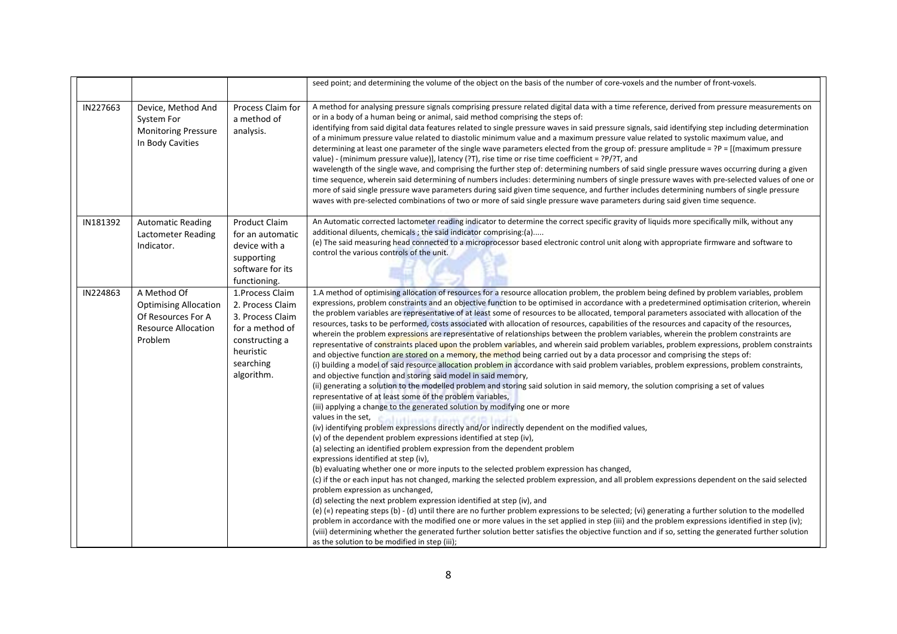|          |                                                                                                            |                                                                                                                                       | seed point; and determining the volume of the object on the basis of the number of core-voxels and the number of front-voxels.                                                                                                                                                                                                                                                                                                                                                                                                                                                                                                                                                                                                                                                                                                                                                                                                                                                                                                                                                                                                                                                                                                                                                                                                                                                                                                                                                                                                                                                                                                                                                                                                                                                                                                                                                                                                                                                                                                                                                                                                                                                                                                                                                                                                                                                                                                                                                                                                                                                                                                                                                                                                                            |
|----------|------------------------------------------------------------------------------------------------------------|---------------------------------------------------------------------------------------------------------------------------------------|-----------------------------------------------------------------------------------------------------------------------------------------------------------------------------------------------------------------------------------------------------------------------------------------------------------------------------------------------------------------------------------------------------------------------------------------------------------------------------------------------------------------------------------------------------------------------------------------------------------------------------------------------------------------------------------------------------------------------------------------------------------------------------------------------------------------------------------------------------------------------------------------------------------------------------------------------------------------------------------------------------------------------------------------------------------------------------------------------------------------------------------------------------------------------------------------------------------------------------------------------------------------------------------------------------------------------------------------------------------------------------------------------------------------------------------------------------------------------------------------------------------------------------------------------------------------------------------------------------------------------------------------------------------------------------------------------------------------------------------------------------------------------------------------------------------------------------------------------------------------------------------------------------------------------------------------------------------------------------------------------------------------------------------------------------------------------------------------------------------------------------------------------------------------------------------------------------------------------------------------------------------------------------------------------------------------------------------------------------------------------------------------------------------------------------------------------------------------------------------------------------------------------------------------------------------------------------------------------------------------------------------------------------------------------------------------------------------------------------------------------------------|
| IN227663 | Device, Method And<br>System For<br><b>Monitoring Pressure</b><br>In Body Cavities                         | Process Claim for<br>a method of<br>analysis.                                                                                         | A method for analysing pressure signals comprising pressure related digital data with a time reference, derived from pressure measurements on<br>or in a body of a human being or animal, said method comprising the steps of:<br>identifying from said digital data features related to single pressure waves in said pressure signals, said identifying step including determination<br>of a minimum pressure value related to diastolic minimum value and a maximum pressure value related to systolic maximum value, and<br>determining at least one parameter of the single wave parameters elected from the group of: pressure amplitude = ?P = [(maximum pressure<br>value) - (minimum pressure value)], latency (?T), rise time or rise time coefficient = ?P/?T, and<br>wavelength of the single wave, and comprising the further step of: determining numbers of said single pressure waves occurring during a given<br>time sequence, wherein said determining of numbers includes: determining numbers of single pressure waves with pre-selected values of one or<br>more of said single pressure wave parameters during said given time sequence, and further includes determining numbers of single pressure<br>waves with pre-selected combinations of two or more of said single pressure wave parameters during said given time sequence.                                                                                                                                                                                                                                                                                                                                                                                                                                                                                                                                                                                                                                                                                                                                                                                                                                                                                                                                                                                                                                                                                                                                                                                                                                                                                                                                                                                               |
| IN181392 | <b>Automatic Reading</b><br>Lactometer Reading<br>Indicator.                                               | <b>Product Claim</b><br>for an automatic<br>device with a<br>supporting<br>software for its<br>functioning.                           | An Automatic corrected lactometer reading indicator to determine the correct specific gravity of liquids more specifically milk, without any<br>additional diluents, chemicals; the said indicator comprising:(a)<br>(e) The said measuring head connected to a microprocessor based electronic control unit along with appropriate firmware and software to<br>control the various controls of the unit.                                                                                                                                                                                                                                                                                                                                                                                                                                                                                                                                                                                                                                                                                                                                                                                                                                                                                                                                                                                                                                                                                                                                                                                                                                                                                                                                                                                                                                                                                                                                                                                                                                                                                                                                                                                                                                                                                                                                                                                                                                                                                                                                                                                                                                                                                                                                                 |
| IN224863 | A Method Of<br><b>Optimising Allocation</b><br>Of Resources For A<br><b>Resource Allocation</b><br>Problem | 1. Process Claim<br>2. Process Claim<br>3. Process Claim<br>for a method of<br>constructing a<br>heuristic<br>searching<br>algorithm. | 1.A method of optimising allocation of resources for a resource allocation problem, the problem being defined by problem variables, problem<br>expressions, problem constraints and an objective function to be optimised in accordance with a predetermined optimisation criterion, wherein<br>the problem variables are representative of at least some of resources to be allocated, temporal parameters associated with allocation of the<br>resources, tasks to be performed, costs associated with allocation of resources, capabilities of the resources and capacity of the resources,<br>wherein the problem expressions are representative of relationships between the problem variables, wherein the problem constraints are<br>representative of constraints placed upon the problem variables, and wherein said problem variables, problem expressions, problem constraints<br>and objective function are stored on a memory, the method being carried out by a data processor and comprising the steps of:<br>(i) building a model of said resource allocation problem in accordance with said problem variables, problem expressions, problem constraints,<br>and objective function and storing said model in said memory,<br>(ii) generating a solution to the modelled problem and storing said solution in said memory, the solution comprising a set of values<br>representative of at least some of the problem variables,<br>(iii) applying a change to the generated solution by modifying one or more<br>values in the set,<br>stritimese feminist<br>(iv) identifying problem expressions directly and/or indirectly dependent on the modified values,<br>(v) of the dependent problem expressions identified at step (iv),<br>(a) selecting an identified problem expression from the dependent problem<br>expressions identified at step (iv),<br>(b) evaluating whether one or more inputs to the selected problem expression has changed,<br>(c) if the or each input has not changed, marking the selected problem expression, and all problem expressions dependent on the said selected<br>problem expression as unchanged,<br>(d) selecting the next problem expression identified at step (iv), and<br>(e) («) repeating steps (b) - (d) until there are no further problem expressions to be selected; (vi) generating a further solution to the modelled<br>problem in accordance with the modified one or more values in the set applied in step (iii) and the problem expressions identified in step (iv);<br>(viii) determining whether the generated further solution better satisfies the objective function and if so, setting the generated further solution<br>as the solution to be modified in step (iii); |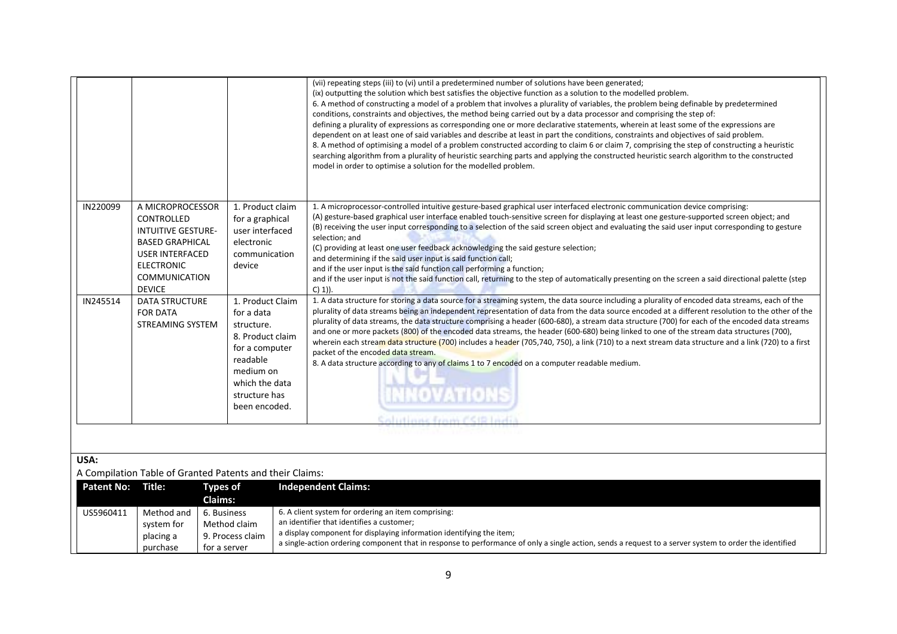|                   |                                                                                                                                                                               |                                                                                                                                                                 | (vii) repeating steps (iii) to (vi) until a predetermined number of solutions have been generated;<br>(ix) outputting the solution which best satisfies the objective function as a solution to the modelled problem.<br>6. A method of constructing a model of a problem that involves a plurality of variables, the problem being definable by predetermined<br>conditions, constraints and objectives, the method being carried out by a data processor and comprising the step of:<br>defining a plurality of expressions as corresponding one or more declarative statements, wherein at least some of the expressions are<br>dependent on at least one of said variables and describe at least in part the conditions, constraints and objectives of said problem.<br>8. A method of optimising a model of a problem constructed according to claim 6 or claim 7, comprising the step of constructing a heuristic<br>searching algorithm from a plurality of heuristic searching parts and applying the constructed heuristic search algorithm to the constructed<br>model in order to optimise a solution for the modelled problem. |
|-------------------|-------------------------------------------------------------------------------------------------------------------------------------------------------------------------------|-----------------------------------------------------------------------------------------------------------------------------------------------------------------|--------------------------------------------------------------------------------------------------------------------------------------------------------------------------------------------------------------------------------------------------------------------------------------------------------------------------------------------------------------------------------------------------------------------------------------------------------------------------------------------------------------------------------------------------------------------------------------------------------------------------------------------------------------------------------------------------------------------------------------------------------------------------------------------------------------------------------------------------------------------------------------------------------------------------------------------------------------------------------------------------------------------------------------------------------------------------------------------------------------------------------------------|
| IN220099          | A MICROPROCESSOR<br>CONTROLLED<br><b>INTUITIVE GESTURE-</b><br><b>BASED GRAPHICAL</b><br><b>USER INTERFACED</b><br><b>ELECTRONIC</b><br><b>COMMUNICATION</b><br><b>DEVICE</b> | 1. Product claim<br>for a graphical<br>user interfaced<br>electronic<br>communication<br>device                                                                 | 1. A microprocessor-controlled intuitive gesture-based graphical user interfaced electronic communication device comprising:<br>(A) gesture-based graphical user interface enabled touch-sensitive screen for displaying at least one gesture-supported screen object; and<br>(B) receiving the user input corresponding to a selection of the said screen object and evaluating the said user input corresponding to gesture<br>selection; and<br>(C) providing at least one user feedback acknowledging the said gesture selection;<br>and determining if the said user input is said function call;<br>and if the user input is the said function call performing a function;<br>and if the user input is not the said function call, returning to the step of automatically presenting on the screen a said directional palette (step<br>$C(1)$ ).                                                                                                                                                                                                                                                                                     |
| IN245514          | <b>DATA STRUCTURE</b><br><b>FOR DATA</b><br><b>STREAMING SYSTEM</b>                                                                                                           | 1. Product Claim<br>for a data<br>structure.<br>8. Product claim<br>for a computer<br>readable<br>medium on<br>which the data<br>structure has<br>been encoded. | 1. A data structure for storing a data source for a streaming system, the data source including a plurality of encoded data streams, each of the<br>plurality of data streams being an independent representation of data from the data source encoded at a different resolution to the other of the<br>plurality of data streams, the data structure comprising a header (600-680), a stream data structure (700) for each of the encoded data streams<br>and one or more packets (800) of the encoded data streams, the header (600-680) being linked to one of the stream data structures (700),<br>wherein each stream data structure (700) includes a header (705,740, 750), a link (710) to a next stream data structure and a link (720) to a first<br>packet of the encoded data stream.<br>8. A data structure according to any of claims 1 to 7 encoded on a computer readable medium.<br>INNOVATIONS<br>Solutions from CSIR India                                                                                                                                                                                               |
| USA:              |                                                                                                                                                                               | A Compilation Table of Granted Patents and their Claims:                                                                                                        |                                                                                                                                                                                                                                                                                                                                                                                                                                                                                                                                                                                                                                                                                                                                                                                                                                                                                                                                                                                                                                                                                                                                            |
| <b>Patent No:</b> | Title:                                                                                                                                                                        | <b>Types of</b><br>Claims:                                                                                                                                      | <b>Independent Claims:</b>                                                                                                                                                                                                                                                                                                                                                                                                                                                                                                                                                                                                                                                                                                                                                                                                                                                                                                                                                                                                                                                                                                                 |
| US5960411         | Method and<br>system for<br>placing a<br>purchase                                                                                                                             | 6. Business<br>Method claim<br>9. Process claim<br>for a server                                                                                                 | 6. A client system for ordering an item comprising:<br>an identifier that identifies a customer;<br>a display component for displaying information identifying the item;<br>a single-action ordering component that in response to performance of only a single action, sends a request to a server system to order the identified                                                                                                                                                                                                                                                                                                                                                                                                                                                                                                                                                                                                                                                                                                                                                                                                         |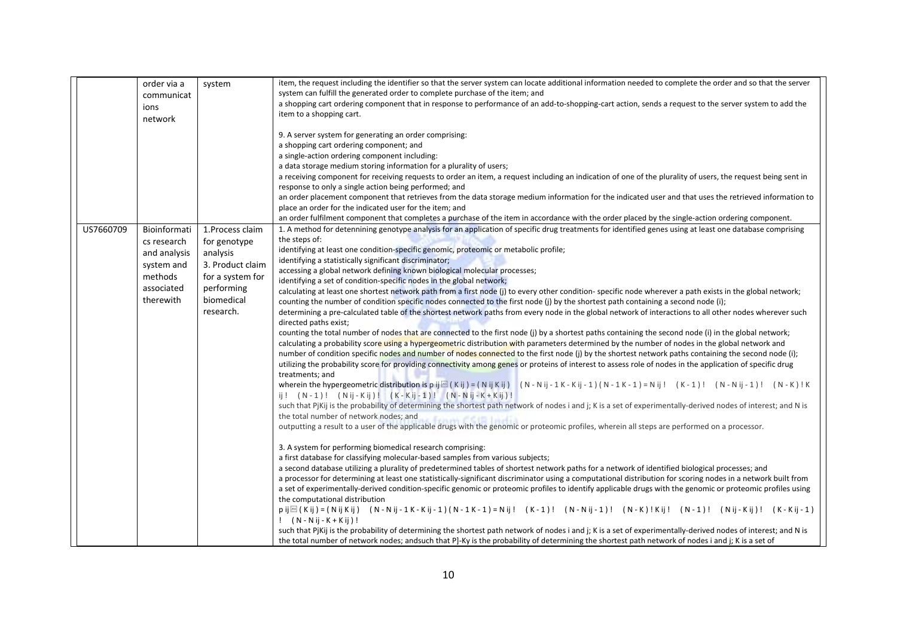|           | order via a  | system           | item, the request including the identifier so that the server system can locate additional information needed to complete the order and so that the server                  |
|-----------|--------------|------------------|-----------------------------------------------------------------------------------------------------------------------------------------------------------------------------|
|           | communicat   |                  | system can fulfill the generated order to complete purchase of the item; and                                                                                                |
|           | ions         |                  | a shopping cart ordering component that in response to performance of an add-to-shopping-cart action, sends a request to the server system to add the                       |
|           | network      |                  | item to a shopping cart.                                                                                                                                                    |
|           |              |                  |                                                                                                                                                                             |
|           |              |                  | 9. A server system for generating an order comprising:                                                                                                                      |
|           |              |                  | a shopping cart ordering component; and                                                                                                                                     |
|           |              |                  | a single-action ordering component including:                                                                                                                               |
|           |              |                  | a data storage medium storing information for a plurality of users;                                                                                                         |
|           |              |                  | a receiving component for receiving requests to order an item, a request including an indication of one of the plurality of users, the request being sent in                |
|           |              |                  | response to only a single action being performed; and                                                                                                                       |
|           |              |                  | an order placement component that retrieves from the data storage medium information for the indicated user and that uses the retrieved information to                      |
|           |              |                  | place an order for the indicated user for the item; and                                                                                                                     |
|           |              |                  | an order fulfilment component that completes a purchase of the item in accordance with the order placed by the single-action ordering component.                            |
| US7660709 | Bioinformati | 1. Process claim | 1. A method for detennining genotype analysis for an application of specific drug treatments for identified genes using at least one database comprising                    |
|           | cs research  | for genotype     | the steps of:                                                                                                                                                               |
|           | and analysis | analysis         | identifying at least one condition-specific genomic, proteomic or metabolic profile;                                                                                        |
|           |              |                  | identifying a statistically significant discriminator;                                                                                                                      |
|           | system and   | 3. Product claim | accessing a global network defining known biological molecular processes;                                                                                                   |
|           | methods      | for a system for | identifying a set of condition-specific nodes in the global network;                                                                                                        |
|           | associated   | performing       | calculating at least one shortest network path from a first node (i) to every other condition-specific node wherever a path exists in the global network;                   |
|           | therewith    | biomedical       | counting the number of condition specific nodes connected to the first node (j) by the shortest path containing a second node (i);                                          |
|           |              | research.        | determining a pre-calculated table of the shortest network paths from every node in the global network of interactions to all other nodes wherever such                     |
|           |              |                  | directed paths exist;                                                                                                                                                       |
|           |              |                  | counting the total number of nodes that are connected to the first node (j) by a shortest paths containing the second node (i) in the global network;                       |
|           |              |                  | calculating a probability score using a hypergeometric distribution with parameters determined by the number of nodes in the global network and                             |
|           |              |                  | number of condition specific nodes and number of nodes connected to the first node (j) by the shortest network paths containing the second node (i);                        |
|           |              |                  | utilizing the probability score for providing connectivity among genes or proteins of interest to assess role of nodes in the application of specific drug                  |
|           |              |                  | treatments; and                                                                                                                                                             |
|           |              |                  | wherein the hypergeometric distribution is p i $\mathbb{E}( K ) = (N + 1)(N - 1)(N - 1)(N - 1)(N - 1)(N - 1)(N - 1) = N$ ii ! $(K - 1)$ ! $(N - N)$ ii - 1) ! $(N - K)$ ! K |
|           |              |                  | ij! (N-1)! (Nij-Kij)! (K-Kij-1)! (N-Nij-K+Kij)!                                                                                                                             |
|           |              |                  | such that PjKij is the probability of determining the shortest path network of nodes i and j; K is a set of experimentally-derived nodes of interest; and N is              |
|           |              |                  | the total number of network nodes; and                                                                                                                                      |
|           |              |                  | outputting a result to a user of the applicable drugs with the genomic or proteomic profiles, wherein all steps are performed on a processor.                               |
|           |              |                  |                                                                                                                                                                             |
|           |              |                  | 3. A system for performing biomedical research comprising:                                                                                                                  |
|           |              |                  | a first database for classifying molecular-based samples from various subjects;                                                                                             |
|           |              |                  | a second database utilizing a plurality of predetermined tables of shortest network paths for a network of identified biological processes; and                             |
|           |              |                  | a processor for determining at least one statistically-significant discriminator using a computational distribution for scoring nodes in a network built from               |
|           |              |                  | a set of experimentally-derived condition-specific genomic or proteomic profiles to identify applicable drugs with the genomic or proteomic profiles using                  |
|           |              |                  | the computational distribution                                                                                                                                              |
|           |              |                  | pij(Kij)=(NijKij) (N-Nij-1K-Kij-1)(N-1K-1)=Nij! (K-1)! (N-Nij-1)! (N-K)!Kij! (N-1)! (Nij-Kij)! (K-Kij-1)                                                                    |
|           |              |                  | $!$ (N - N ij - K + K ij )!                                                                                                                                                 |
|           |              |                  | such that PjKij is the probability of determining the shortest path network of nodes i and j; K is a set of experimentally-derived nodes of interest; and N is              |
|           |              |                  | the total number of network nodes; andsuch that P]-Ky is the probability of determining the shortest path network of nodes i and j; K is a set of                           |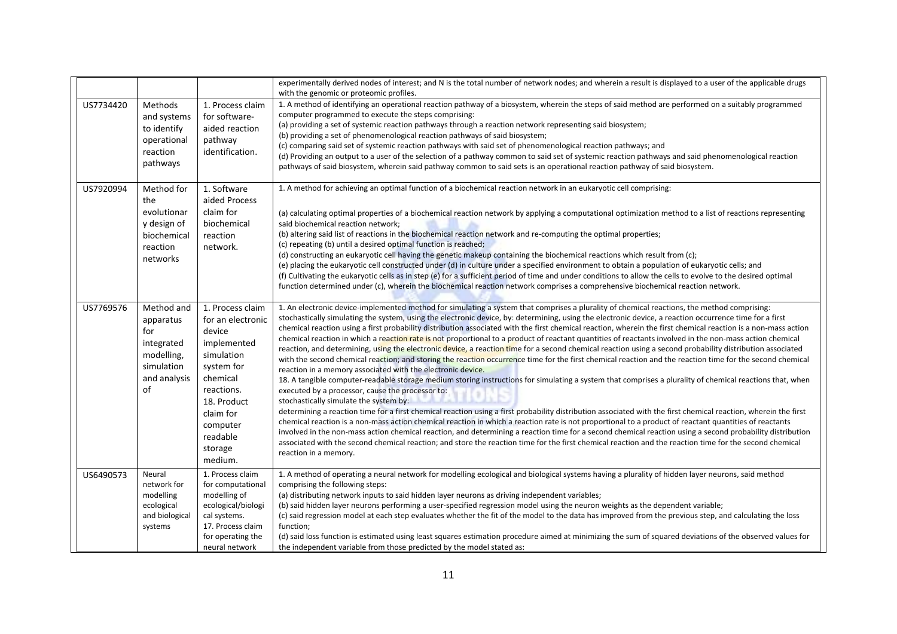|           |                                                                                                |                                                                                                                                                                                                | experimentally derived nodes of interest; and N is the total number of network nodes; and wherein a result is displayed to a user of the applicable drugs<br>with the genomic or proteomic profiles.                                                                                                                                                                                                                                                                                                                                                                                                                                                                                                                                                                                                                                                                                                                                                                                                                                                                                                                                                                                                                                                                                                                                                                                                                                                                                                                                                                                                                                                                                                                                                                                                                                                                                                                                                                  |
|-----------|------------------------------------------------------------------------------------------------|------------------------------------------------------------------------------------------------------------------------------------------------------------------------------------------------|-----------------------------------------------------------------------------------------------------------------------------------------------------------------------------------------------------------------------------------------------------------------------------------------------------------------------------------------------------------------------------------------------------------------------------------------------------------------------------------------------------------------------------------------------------------------------------------------------------------------------------------------------------------------------------------------------------------------------------------------------------------------------------------------------------------------------------------------------------------------------------------------------------------------------------------------------------------------------------------------------------------------------------------------------------------------------------------------------------------------------------------------------------------------------------------------------------------------------------------------------------------------------------------------------------------------------------------------------------------------------------------------------------------------------------------------------------------------------------------------------------------------------------------------------------------------------------------------------------------------------------------------------------------------------------------------------------------------------------------------------------------------------------------------------------------------------------------------------------------------------------------------------------------------------------------------------------------------------|
| US7734420 | Methods<br>and systems<br>to identify<br>operational<br>reaction<br>pathways                   | 1. Process claim<br>for software-<br>aided reaction<br>pathway<br>identification.                                                                                                              | 1. A method of identifying an operational reaction pathway of a biosystem, wherein the steps of said method are performed on a suitably programmed<br>computer programmed to execute the steps comprising:<br>(a) providing a set of systemic reaction pathways through a reaction network representing said biosystem;<br>(b) providing a set of phenomenological reaction pathways of said biosystem;<br>(c) comparing said set of systemic reaction pathways with said set of phenomenological reaction pathways; and<br>(d) Providing an output to a user of the selection of a pathway common to said set of systemic reaction pathways and said phenomenological reaction<br>pathways of said biosystem, wherein said pathway common to said sets is an operational reaction pathway of said biosystem.                                                                                                                                                                                                                                                                                                                                                                                                                                                                                                                                                                                                                                                                                                                                                                                                                                                                                                                                                                                                                                                                                                                                                         |
| US7920994 | Method for<br>the<br>evolutionar<br>y design of<br>biochemical<br>reaction<br>networks         | 1. Software<br>aided Process<br>claim for<br>biochemical<br>reaction<br>network.                                                                                                               | 1. A method for achieving an optimal function of a biochemical reaction network in an eukaryotic cell comprising:<br>(a) calculating optimal properties of a biochemical reaction network by applying a computational optimization method to a list of reactions representing<br>said biochemical reaction network;<br>(b) altering said list of reactions in the biochemical reaction network and re-computing the optimal properties;<br>(c) repeating (b) until a desired optimal function is reached;<br>(d) constructing an eukaryotic cell having the genetic makeup containing the biochemical reactions which result from (c);<br>(e) placing the eukaryotic cell constructed under (d) in culture under a specified environment to obtain a population of eukaryotic cells; and<br>(f) Cultivating the eukaryotic cells as in step (e) for a sufficient period of time and under conditions to allow the cells to evolve to the desired optimal<br>function determined under (c), wherein the biochemical reaction network comprises a comprehensive biochemical reaction network.                                                                                                                                                                                                                                                                                                                                                                                                                                                                                                                                                                                                                                                                                                                                                                                                                                                                           |
| US7769576 | Method and<br>apparatus<br>for<br>integrated<br>modelling,<br>simulation<br>and analysis<br>οf | 1. Process claim<br>for an electronic<br>device<br>implemented<br>simulation<br>system for<br>chemical<br>reactions.<br>18. Product<br>claim for<br>computer<br>readable<br>storage<br>medium. | 1. An electronic device-implemented method for simulating a system that comprises a plurality of chemical reactions, the method comprising:<br>stochastically simulating the system, using the electronic device, by: determining, using the electronic device, a reaction occurrence time for a first<br>chemical reaction using a first probability distribution associated with the first chemical reaction, wherein the first chemical reaction is a non-mass action<br>chemical reaction in which a reaction rate is not proportional to a product of reactant quantities of reactants involved in the non-mass action chemical<br>reaction, and determining, using the electronic device, a reaction time for a second chemical reaction using a second probability distribution associated<br>with the second chemical reaction; and storing the reaction occurrence time for the first chemical reaction and the reaction time for the second chemical<br>reaction in a memory associated with the electronic device.<br>18. A tangible computer-readable storage medium storing instructions for simulating a system that comprises a plurality of chemical reactions that, when<br>executed by a processor, cause the processor to:<br>stochastically simulate the system by:<br>determining a reaction time for a first chemical reaction using a first probability distribution associated with the first chemical reaction, wherein the first<br>chemical reaction is a non-mass action chemical reaction in which a reaction rate is not proportional to a product of reactant quantities of reactants<br>involved in the non-mass action chemical reaction, and determining a reaction time for a second chemical reaction using a second probability distribution<br>associated with the second chemical reaction; and store the reaction time for the first chemical reaction and the reaction time for the second chemical<br>reaction in a memory. |
| US6490573 | Neural<br>network for<br>modelling<br>ecological<br>and biological<br>systems                  | 1. Process claim<br>for computational<br>modelling of<br>ecological/biologi<br>cal systems.<br>17. Process claim<br>for operating the<br>neural network                                        | 1. A method of operating a neural network for modelling ecological and biological systems having a plurality of hidden layer neurons, said method<br>comprising the following steps:<br>(a) distributing network inputs to said hidden layer neurons as driving independent variables;<br>(b) said hidden layer neurons performing a user-specified regression model using the neuron weights as the dependent variable;<br>(c) said regression model at each step evaluates whether the fit of the model to the data has improved from the previous step, and calculating the loss<br>function;<br>(d) said loss function is estimated using least squares estimation procedure aimed at minimizing the sum of squared deviations of the observed values for<br>the independent variable from those predicted by the model stated as:                                                                                                                                                                                                                                                                                                                                                                                                                                                                                                                                                                                                                                                                                                                                                                                                                                                                                                                                                                                                                                                                                                                                |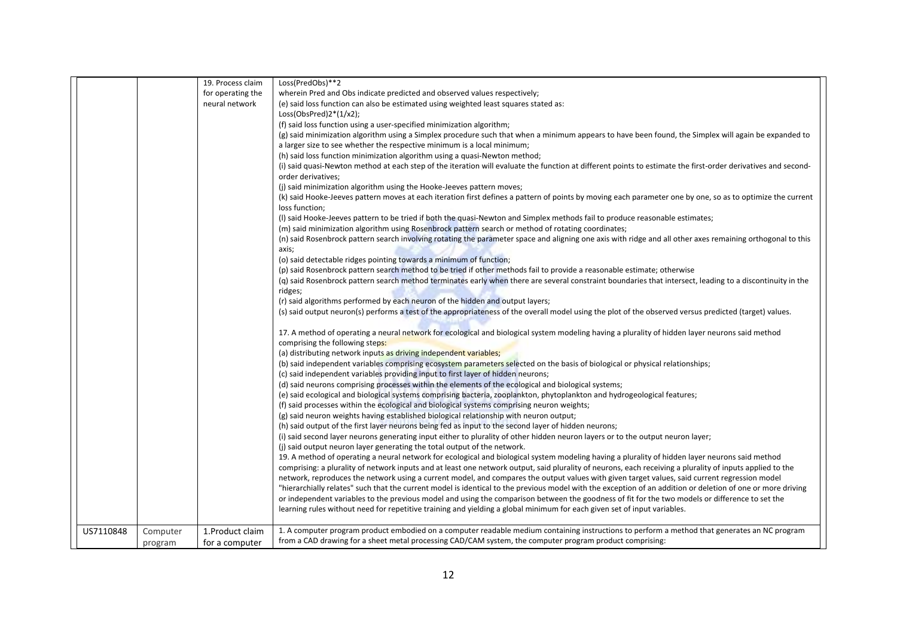|           |                     | 19. Process claim | Loss(PredObs)**2                                                                                                                                                                    |
|-----------|---------------------|-------------------|-------------------------------------------------------------------------------------------------------------------------------------------------------------------------------------|
|           |                     | for operating the | wherein Pred and Obs indicate predicted and observed values respectively;                                                                                                           |
|           |                     | neural network    | (e) said loss function can also be estimated using weighted least squares stated as:                                                                                                |
|           |                     |                   | $Loss(ObsPred)2*(1/x2);$                                                                                                                                                            |
|           |                     |                   | (f) said loss function using a user-specified minimization algorithm;                                                                                                               |
|           |                     |                   | (g) said minimization algorithm using a Simplex procedure such that when a minimum appears to have been found, the Simplex will again be expanded to                                |
|           |                     |                   | a larger size to see whether the respective minimum is a local minimum;                                                                                                             |
|           |                     |                   | (h) said loss function minimization algorithm using a quasi-Newton method;                                                                                                          |
|           |                     |                   | (i) said quasi-Newton method at each step of the iteration will evaluate the function at different points to estimate the first-order derivatives and second-<br>order derivatives; |
|           |                     |                   | (j) said minimization algorithm using the Hooke-Jeeves pattern moves;                                                                                                               |
|           |                     |                   | (k) said Hooke-Jeeves pattern moves at each iteration first defines a pattern of points by moving each parameter one by one, so as to optimize the current<br>loss function;        |
|           |                     |                   | (I) said Hooke-Jeeves pattern to be tried if both the quasi-Newton and Simplex methods fail to produce reasonable estimates;                                                        |
|           |                     |                   | (m) said minimization algorithm using Rosenbrock pattern search or method of rotating coordinates;                                                                                  |
|           |                     |                   | (n) said Rosenbrock pattern search involving rotating the parameter space and aligning one axis with ridge and all other axes remaining orthogonal to this<br>axis;                 |
|           |                     |                   | (o) said detectable ridges pointing towards a minimum of function;                                                                                                                  |
|           |                     |                   | (p) said Rosenbrock pattern search method to be tried if other methods fail to provide a reasonable estimate; otherwise                                                             |
|           |                     |                   | (q) said Rosenbrock pattern search method terminates early when there are several constraint boundaries that intersect, leading to a discontinuity in the                           |
|           |                     |                   | ridges;                                                                                                                                                                             |
|           |                     |                   | (r) said algorithms performed by each neuron of the hidden and output layers;                                                                                                       |
|           |                     |                   | (s) said output neuron(s) performs a test of the appropriateness of the overall model using the plot of the observed versus predicted (target) values.                              |
|           |                     |                   |                                                                                                                                                                                     |
|           |                     |                   | 17. A method of operating a neural network for ecological and biological system modeling having a plurality of hidden layer neurons said method                                     |
|           |                     |                   | comprising the following steps:                                                                                                                                                     |
|           |                     |                   | (a) distributing network inputs as driving independent variables;                                                                                                                   |
|           |                     |                   | (b) said independent variables comprising ecosystem parameters selected on the basis of biological or physical relationships;                                                       |
|           |                     |                   | (c) said independent variables providing input to first layer of hidden neurons;                                                                                                    |
|           |                     |                   | (d) said neurons comprising processes within the elements of the ecological and biological systems;                                                                                 |
|           |                     |                   | (e) said ecological and biological systems comprising bacteria, zooplankton, phytoplankton and hydrogeological features;                                                            |
|           |                     |                   | (f) said processes within the ecological and biological systems comprising neuron weights;                                                                                          |
|           |                     |                   | (g) said neuron weights having established biological relationship with neuron output;                                                                                              |
|           |                     |                   | (h) said output of the first layer neurons being fed as input to the second layer of hidden neurons;                                                                                |
|           |                     |                   | (i) said second layer neurons generating input either to plurality of other hidden neuron layers or to the output neuron layer;                                                     |
|           |                     |                   | (j) said output neuron layer generating the total output of the network.                                                                                                            |
|           |                     |                   | 19. A method of operating a neural network for ecological and biological system modeling having a plurality of hidden layer neurons said method                                     |
|           |                     |                   | comprising: a plurality of network inputs and at least one network output, said plurality of neurons, each receiving a plurality of inputs applied to the                           |
|           |                     |                   | network, reproduces the network using a current model, and compares the output values with given target values, said current regression model                                       |
|           |                     |                   | "hierarchially relates" such that the current model is identical to the previous model with the exception of an addition or deletion of one or more driving                         |
|           |                     |                   | or independent variables to the previous model and using the comparison between the goodness of fit for the two models or difference to set the                                     |
|           |                     |                   | learning rules without need for repetitive training and yielding a global minimum for each given set of input variables.                                                            |
| US7110848 |                     | 1. Product claim  | 1. A computer program product embodied on a computer readable medium containing instructions to perform a method that generates an NC program                                       |
|           | Computer<br>program | for a computer    | from a CAD drawing for a sheet metal processing CAD/CAM system, the computer program product comprising:                                                                            |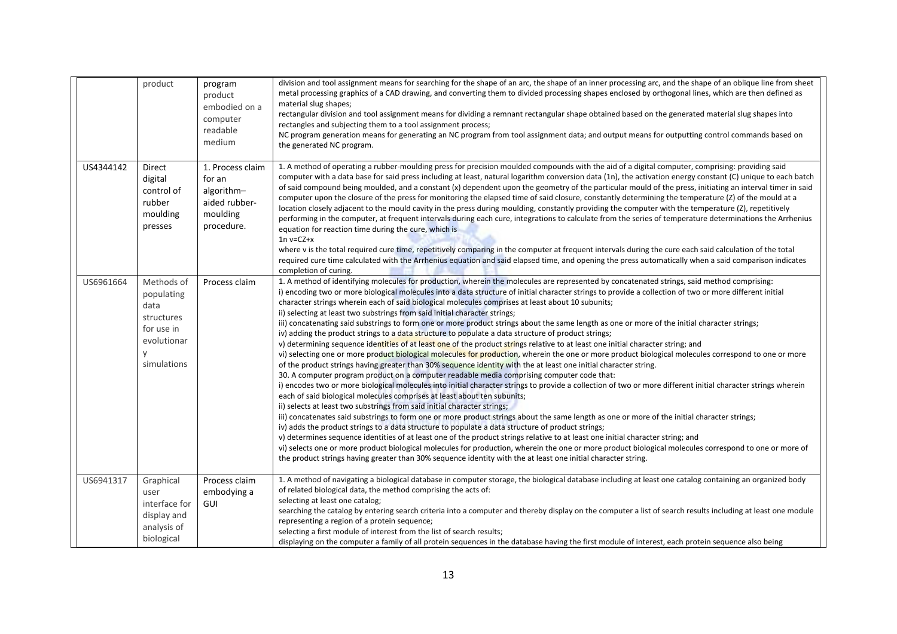|           | product                                                                                         | program<br>product<br>embodied on a<br>computer<br>readable<br>medium               | division and tool assignment means for searching for the shape of an arc, the shape of an inner processing arc, and the shape of an oblique line from sheet<br>metal processing graphics of a CAD drawing, and converting them to divided processing shapes enclosed by orthogonal lines, which are then defined as<br>material slug shapes;<br>rectangular division and tool assignment means for dividing a remnant rectangular shape obtained based on the generated material slug shapes into<br>rectangles and subjecting them to a tool assignment process;<br>NC program generation means for generating an NC program from tool assignment data; and output means for outputting control commands based on<br>the generated NC program.                                                                                                                                                                                                                                                                                                                                                                                                                                                                                                                                                                                                                                                                                                                                                                                                                                                                                                                                                                                                                                                                                                                                                                                                                                                                                                                                                                                                                                                                                                                                        |
|-----------|-------------------------------------------------------------------------------------------------|-------------------------------------------------------------------------------------|----------------------------------------------------------------------------------------------------------------------------------------------------------------------------------------------------------------------------------------------------------------------------------------------------------------------------------------------------------------------------------------------------------------------------------------------------------------------------------------------------------------------------------------------------------------------------------------------------------------------------------------------------------------------------------------------------------------------------------------------------------------------------------------------------------------------------------------------------------------------------------------------------------------------------------------------------------------------------------------------------------------------------------------------------------------------------------------------------------------------------------------------------------------------------------------------------------------------------------------------------------------------------------------------------------------------------------------------------------------------------------------------------------------------------------------------------------------------------------------------------------------------------------------------------------------------------------------------------------------------------------------------------------------------------------------------------------------------------------------------------------------------------------------------------------------------------------------------------------------------------------------------------------------------------------------------------------------------------------------------------------------------------------------------------------------------------------------------------------------------------------------------------------------------------------------------------------------------------------------------------------------------------------------|
| US4344142 | Direct<br>digital<br>control of<br>rubber<br>moulding<br>presses                                | 1. Process claim<br>for an<br>algorithm-<br>aided rubber-<br>moulding<br>procedure. | 1. A method of operating a rubber-moulding press for precision moulded compounds with the aid of a digital computer, comprising: providing said<br>computer with a data base for said press including at least, natural logarithm conversion data (1n), the activation energy constant (C) unique to each batch<br>of said compound being moulded, and a constant (x) dependent upon the geometry of the particular mould of the press, initiating an interval timer in said<br>computer upon the closure of the press for monitoring the elapsed time of said closure, constantly determining the temperature (Z) of the mould at a<br>location closely adjacent to the mould cavity in the press during moulding, constantly providing the computer with the temperature (Z), repetitively<br>performing in the computer, at frequent intervals during each cure, integrations to calculate from the series of temperature determinations the Arrhenius<br>equation for reaction time during the cure, which is<br>$1n v = CZ + x$<br>where v is the total required cure time, repetitively comparing in the computer at frequent intervals during the cure each said calculation of the total<br>required cure time calculated with the Arrhenius equation and said elapsed time, and opening the press automatically when a said comparison indicates                                                                                                                                                                                                                                                                                                                                                                                                                                                                                                                                                                                                                                                                                                                                                                                                                                                                                                                              |
| US6961664 | Methods of<br>populating<br>data<br>structures<br>for use in<br>evolutionar<br>y<br>simulations | Process claim                                                                       | completion of curing.<br>1. A method of identifying molecules for production, wherein the molecules are represented by concatenated strings, said method comprising:<br>i) encoding two or more biological molecules into a data structure of initial character strings to provide a collection of two or more different initial<br>character strings wherein each of said biological molecules comprises at least about 10 subunits;<br>ii) selecting at least two substrings from said initial character strings;<br>iii) concatenating said substrings to form one or more product strings about the same length as one or more of the initial character strings;<br>iv) adding the product strings to a data structure to populate a data structure of product strings;<br>v) determining sequence identities of at least one of the product strings relative to at least one initial character string; and<br>vi) selecting one or more product biological molecules for production, wherein the one or more product biological molecules correspond to one or more<br>of the product strings having greater than 30% sequence identity with the at least one initial character string.<br>30. A computer program product on a computer readable media comprising computer code that:<br>i) encodes two or more biological molecules into initial character strings to provide a collection of two or more different initial character strings wherein<br>each of said biological molecules comprises at least about ten subunits;<br>ii) selects at least two substrings from said initial character strings;<br>iii) concatenates said substrings to form one or more product strings about the same length as one or more of the initial character strings;<br>iv) adds the product strings to a data structure to populate a data structure of product strings;<br>v) determines sequence identities of at least one of the product strings relative to at least one initial character string; and<br>vi) selects one or more product biological molecules for production, wherein the one or more product biological molecules correspond to one or more of<br>the product strings having greater than 30% sequence identity with the at least one initial character string. |
| US6941317 | Graphical<br>user<br>interface for<br>display and<br>analysis of<br>biological                  | Process claim<br>embodying a<br>GUI                                                 | 1. A method of navigating a biological database in computer storage, the biological database including at least one catalog containing an organized body<br>of related biological data, the method comprising the acts of:<br>selecting at least one catalog;<br>searching the catalog by entering search criteria into a computer and thereby display on the computer a list of search results including at least one module<br>representing a region of a protein sequence;<br>selecting a first module of interest from the list of search results;<br>displaying on the computer a family of all protein sequences in the database having the first module of interest, each protein sequence also being                                                                                                                                                                                                                                                                                                                                                                                                                                                                                                                                                                                                                                                                                                                                                                                                                                                                                                                                                                                                                                                                                                                                                                                                                                                                                                                                                                                                                                                                                                                                                                           |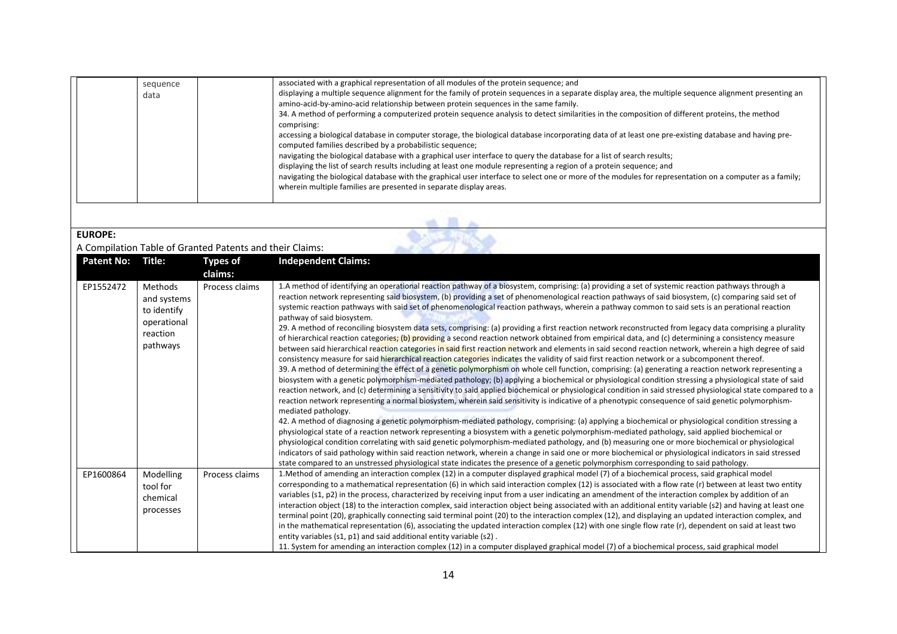| sequence<br>data | associated with a graphical representation of all modules of the protein sequence; and<br>displaying a multiple sequence alignment for the family of protein sequences in a separate display area, the multiple sequence alignment presenting an<br>amino-acid-by-amino-acid relationship between protein sequences in the same family.<br>34. A method of performing a computerized protein sequence analysis to detect similarities in the composition of different proteins, the method<br>comprising:<br>accessing a biological database in computer storage, the biological database incorporating data of at least one pre-existing database and having pre-<br>computed families described by a probabilistic sequence;<br>navigating the biological database with a graphical user interface to query the database for a list of search results;<br>displaying the list of search results including at least one module representing a region of a protein sequence; and<br>navigating the biological database with the graphical user interface to select one or more of the modules for representation on a computer as a family;<br>wherein multiple families are presented in separate display areas. |
|------------------|-------------------------------------------------------------------------------------------------------------------------------------------------------------------------------------------------------------------------------------------------------------------------------------------------------------------------------------------------------------------------------------------------------------------------------------------------------------------------------------------------------------------------------------------------------------------------------------------------------------------------------------------------------------------------------------------------------------------------------------------------------------------------------------------------------------------------------------------------------------------------------------------------------------------------------------------------------------------------------------------------------------------------------------------------------------------------------------------------------------------------------------------------------------------------------------------------------------------|
|------------------|-------------------------------------------------------------------------------------------------------------------------------------------------------------------------------------------------------------------------------------------------------------------------------------------------------------------------------------------------------------------------------------------------------------------------------------------------------------------------------------------------------------------------------------------------------------------------------------------------------------------------------------------------------------------------------------------------------------------------------------------------------------------------------------------------------------------------------------------------------------------------------------------------------------------------------------------------------------------------------------------------------------------------------------------------------------------------------------------------------------------------------------------------------------------------------------------------------------------|

| <b>EUROP</b> |
|--------------|
|--------------|

#### A Compilation Table of Granted Patents and their Claims:

| <b>Patent No:</b> | Title:                                                                       | <b>Types of</b><br>claims: | <b>Independent Claims:</b>                                                                                                                                                                                                                                                                                                                                                                                                                                                                                                                                                                                                                                                                                                                                                                                                                                                                                                                                                                                                                                                                                                                                                                                                                                                                                                                                                                                                                                                                                                                                                                                                                                                                                                                                                                                                                                                                                                                                                                                                                                                                                                                                                                                                                                                                                                                                                                                                                                                                                                                                         |
|-------------------|------------------------------------------------------------------------------|----------------------------|--------------------------------------------------------------------------------------------------------------------------------------------------------------------------------------------------------------------------------------------------------------------------------------------------------------------------------------------------------------------------------------------------------------------------------------------------------------------------------------------------------------------------------------------------------------------------------------------------------------------------------------------------------------------------------------------------------------------------------------------------------------------------------------------------------------------------------------------------------------------------------------------------------------------------------------------------------------------------------------------------------------------------------------------------------------------------------------------------------------------------------------------------------------------------------------------------------------------------------------------------------------------------------------------------------------------------------------------------------------------------------------------------------------------------------------------------------------------------------------------------------------------------------------------------------------------------------------------------------------------------------------------------------------------------------------------------------------------------------------------------------------------------------------------------------------------------------------------------------------------------------------------------------------------------------------------------------------------------------------------------------------------------------------------------------------------------------------------------------------------------------------------------------------------------------------------------------------------------------------------------------------------------------------------------------------------------------------------------------------------------------------------------------------------------------------------------------------------------------------------------------------------------------------------------------------------|
| EP1552472         | Methods<br>and systems<br>to identify<br>operational<br>reaction<br>pathways | Process claims             | 1.A method of identifying an operational reaction pathway of a biosystem, comprising: (a) providing a set of systemic reaction pathways through a<br>reaction network representing said biosystem, (b) providing a set of phenomenological reaction pathways of said biosystem, (c) comparing said set of<br>systemic reaction pathways with said set of phenomenological reaction pathways, wherein a pathway common to said sets is an perational reaction<br>pathway of said biosystem.<br>29. A method of reconciling biosystem data sets, comprising: (a) providing a first reaction network reconstructed from legacy data comprising a plurality<br>of hierarchical reaction categories; (b) providing a second reaction network obtained from empirical data, and (c) determining a consistency measure<br>between said hierarchical reaction categories in said first reaction network and elements in said second reaction network, wherein a high degree of said<br>consistency measure for said hierarchical reaction categories indicates the validity of said first reaction network or a subcomponent thereof.<br>39. A method of determining the effect of a genetic polymorphism on whole cell function, comprising: (a) generating a reaction network representing a<br>biosystem with a genetic polymorphism-mediated pathology; (b) applying a biochemical or physiological condition stressing a physiological state of said<br>reaction network, and (c) determining a sensitivity to said applied biochemical or physiological condition in said stressed physiological state compared to a<br>reaction network representing a normal biosystem, wherein said sensitivity is indicative of a phenotypic consequence of said genetic polymorphism-<br>mediated pathology.<br>42. A method of diagnosing a genetic polymorphism-mediated pathology, comprising: (a) applying a biochemical or physiological condition stressing a<br>physiological state of a reaction network representing a biosystem with a genetic polymorphism-mediated pathology, said applied biochemical or<br>physiological condition correlating with said genetic polymorphism-mediated pathology, and (b) measuring one or more biochemical or physiological<br>indicators of said pathology within said reaction network, wherein a change in said one or more biochemical or physiological indicators in said stressed<br>state compared to an unstressed physiological state indicates the presence of a genetic polymorphism corresponding to said pathology. |
| EP1600864         | Modelling<br>tool for<br>chemical<br>processes                               | Process claims             | 1. Method of amending an interaction complex (12) in a computer displayed graphical model (7) of a biochemical process, said graphical model<br>corresponding to a mathematical representation (6) in which said interaction complex (12) is associated with a flow rate (r) between at least two entity<br>variables (s1, p2) in the process, characterized by receiving input from a user indicating an amendment of the interaction complex by addition of an<br>interaction object (18) to the interaction complex, said interaction object being associated with an additional entity variable (s2) and having at least one<br>terminal point (20), graphically connecting said terminal point (20) to the interaction complex (12), and displaying an updated interaction complex, and<br>in the mathematical representation (6), associating the updated interaction complex (12) with one single flow rate (r), dependent on said at least two<br>entity variables (s1, p1) and said additional entity variable (s2).<br>11. System for amending an interaction complex (12) in a computer displayed graphical model (7) of a biochemical process, said graphical model                                                                                                                                                                                                                                                                                                                                                                                                                                                                                                                                                                                                                                                                                                                                                                                                                                                                                                                                                                                                                                                                                                                                                                                                                                                                                                                                                                                    |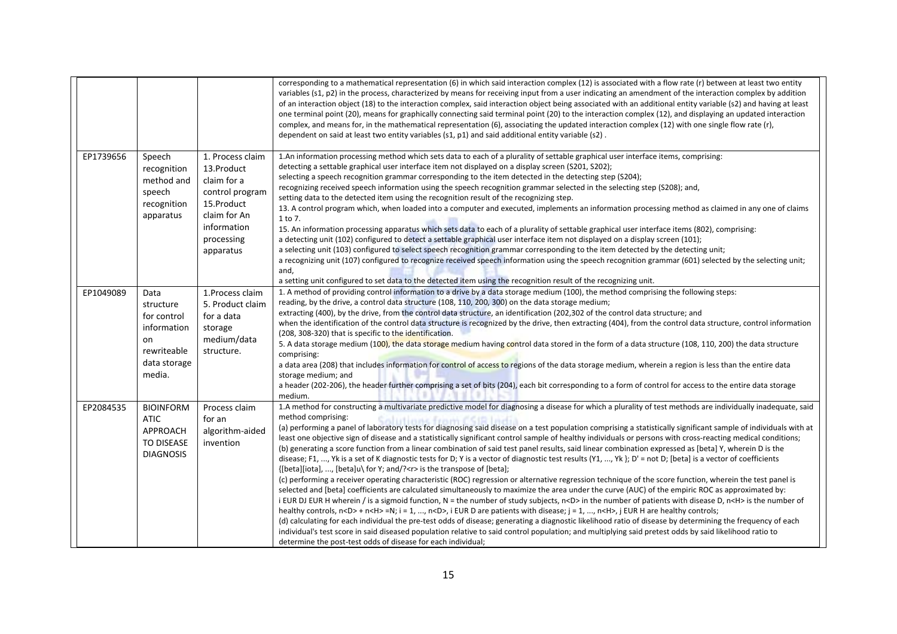|           |                                                                                                |                                                                                                                                          | corresponding to a mathematical representation (6) in which said interaction complex (12) is associated with a flow rate (r) between at least two entity<br>variables (s1, p2) in the process, characterized by means for receiving input from a user indicating an amendment of the interaction complex by addition<br>of an interaction object (18) to the interaction complex, said interaction object being associated with an additional entity variable (s2) and having at least<br>one terminal point (20), means for graphically connecting said terminal point (20) to the interaction complex (12), and displaying an updated interaction<br>complex, and means for, in the mathematical representation (6), associating the updated interaction complex (12) with one single flow rate (r),<br>dependent on said at least two entity variables (s1, p1) and said additional entity variable (s2).                                                                                                                                                                                                                                                                                                                                                                                                                                                                                                                                                                                                                                                                                                                                                                                                                                                                                                                                                                                                                                                                                                                                                       |
|-----------|------------------------------------------------------------------------------------------------|------------------------------------------------------------------------------------------------------------------------------------------|--------------------------------------------------------------------------------------------------------------------------------------------------------------------------------------------------------------------------------------------------------------------------------------------------------------------------------------------------------------------------------------------------------------------------------------------------------------------------------------------------------------------------------------------------------------------------------------------------------------------------------------------------------------------------------------------------------------------------------------------------------------------------------------------------------------------------------------------------------------------------------------------------------------------------------------------------------------------------------------------------------------------------------------------------------------------------------------------------------------------------------------------------------------------------------------------------------------------------------------------------------------------------------------------------------------------------------------------------------------------------------------------------------------------------------------------------------------------------------------------------------------------------------------------------------------------------------------------------------------------------------------------------------------------------------------------------------------------------------------------------------------------------------------------------------------------------------------------------------------------------------------------------------------------------------------------------------------------------------------------------------------------------------------------------------------------|
| EP1739656 | Speech<br>recognition<br>method and<br>speech<br>recognition<br>apparatus                      | 1. Process claim<br>13.Product<br>claim for a<br>control program<br>15.Product<br>claim for An<br>information<br>processing<br>apparatus | 1.An information processing method which sets data to each of a plurality of settable graphical user interface items, comprising:<br>detecting a settable graphical user interface item not displayed on a display screen (S201, S202);<br>selecting a speech recognition grammar corresponding to the item detected in the detecting step (S204);<br>recognizing received speech information using the speech recognition grammar selected in the selecting step (S208); and,<br>setting data to the detected item using the recognition result of the recognizing step.<br>13. A control program which, when loaded into a computer and executed, implements an information processing method as claimed in any one of claims<br>1 to 7.<br>15. An information processing apparatus which sets data to each of a plurality of settable graphical user interface items (802), comprising:<br>a detecting unit (102) configured to detect a settable graphical user interface item not displayed on a display screen (101);<br>a selecting unit (103) configured to select speech recognition grammar corresponding to the item detected by the detecting unit;<br>a recognizing unit (107) configured to recognize received speech information using the speech recognition grammar (601) selected by the selecting unit;<br>and,<br>a setting unit configured to set data to the detected item using the recognition result of the recognizing unit.                                                                                                                                                                                                                                                                                                                                                                                                                                                                                                                                                                                                             |
| EP1049089 | Data<br>structure<br>for control<br>information<br>on<br>rewriteable<br>data storage<br>media. | 1. Process claim<br>5. Product claim<br>for a data<br>storage<br>medium/data<br>structure.                                               | 1. A method of providing control information to a drive by a data storage medium (100), the method comprising the following steps:<br>reading, by the drive, a control data structure (108, 110, 200, 300) on the data storage medium;<br>extracting (400), by the drive, from the control data structure, an identification (202,302 of the control data structure; and<br>when the identification of the control data structure is recognized by the drive, then extracting (404), from the control data structure, control information<br>(208, 308-320) that is specific to the identification.<br>5. A data storage medium (100), the data storage medium having control data stored in the form of a data structure (108, 110, 200) the data structure<br>comprising:<br>a data area (208) that includes information for control of access to regions of the data storage medium, wherein a region is less than the entire data<br>storage medium; and<br>a header (202-206), the header further comprising a set of bits (204), each bit corresponding to a form of control for access to the entire data storage<br>medium.                                                                                                                                                                                                                                                                                                                                                                                                                                                                                                                                                                                                                                                                                                                                                                                                                                                                                                                                |
| EP2084535 | <b>BIOINFORM</b><br><b>ATIC</b><br>APPROACH<br><b>TO DISEASE</b><br><b>DIAGNOSIS</b>           | Process claim<br>for an<br>algorithm-aided<br>invention                                                                                  | 1.A method for constructing a multivariate predictive model for diagnosing a disease for which a plurality of test methods are individually inadequate, said<br>method comprising:<br><b>Salutinus from CSIR India</b><br>(a) performing a panel of laboratory tests for diagnosing said disease on a test population comprising a statistically significant sample of individuals with at<br>least one objective sign of disease and a statistically significant control sample of healthy individuals or persons with cross-reacting medical conditions;<br>(b) generating a score function from a linear combination of said test panel results, said linear combination expressed as [beta] Y, wherein D is the<br>disease; F1, , Yk is a set of K diagnostic tests for D; Y is a vector of diagnostic test results (Y1, , Yk }; D' = not D; [beta] is a vector of coefficients<br>{[beta][iota], , [beta]u\ for Y; and/? <r> is the transpose of [beta];<br/>(c) performing a receiver operating characteristic (ROC) regression or alternative regression technique of the score function, wherein the test panel is<br/>selected and [beta] coefficients are calculated simultaneously to maximize the area under the curve (AUC) of the empiric ROC as approximated by:<br/>i EUR DJ EUR H wherein / is a sigmoid function, N = the number of study subjects, n<d> in the number of patients with disease D, n<h> is the number of<br/>healthy controls, <math>n&lt;</math>D&gt; + <math>n&lt;</math>H&gt; =N; i = 1, , <math>n&lt;</math>D&gt;, i EUR D are patients with disease; j = 1, , <math>n&lt;</math>H&gt;, j EUR H are healthy controls;<br/>(d) calculating for each individual the pre-test odds of disease; generating a diagnostic likelihood ratio of disease by determining the frequency of each<br/>individual's test score in said diseased population relative to said control population; and multiplying said pretest odds by said likelihood ratio to<br/>determine the post-test odds of disease for each individual;</h></d></r> |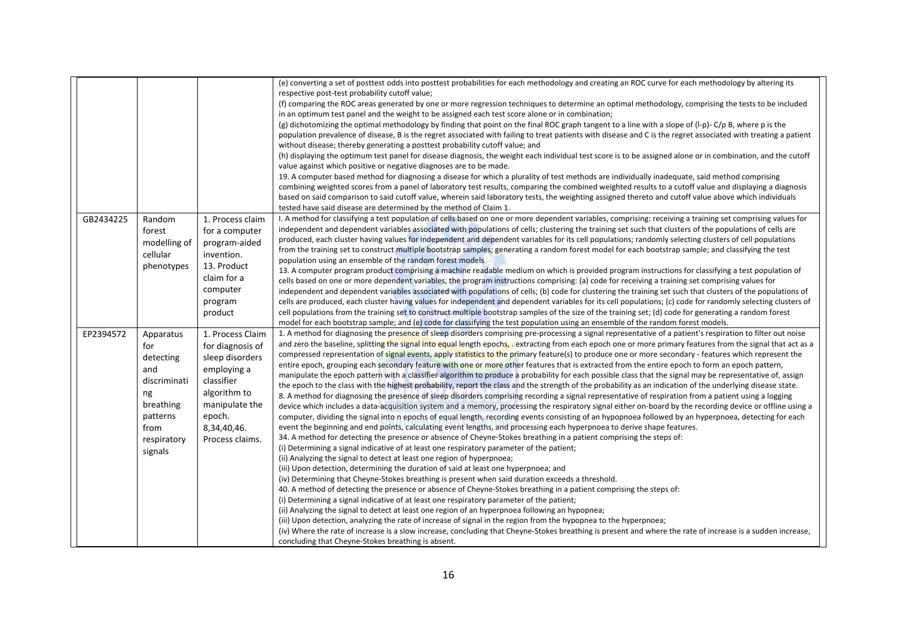|           |              |                  | (e) converting a set of posttest odds into posttest probabilities for each methodology and creating an ROC curve for each methodology by altering its                                                                                                                                                                 |
|-----------|--------------|------------------|-----------------------------------------------------------------------------------------------------------------------------------------------------------------------------------------------------------------------------------------------------------------------------------------------------------------------|
|           |              |                  | respective post-test probability cutoff value;                                                                                                                                                                                                                                                                        |
|           |              |                  | (f) comparing the ROC areas generated by one or more regression techniques to determine an optimal methodology, comprising the tests to be included                                                                                                                                                                   |
|           |              |                  | in an optimum test panel and the weight to be assigned each test score alone or in combination;                                                                                                                                                                                                                       |
|           |              |                  | (g) dichotomizing the optimal methodology by finding that point on the final ROC graph tangent to a line with a slope of (I-p)- C/p B, where p is the                                                                                                                                                                 |
|           |              |                  | population prevalence of disease, B is the regret associated with failing to treat patients with disease and C is the regret associated with treating a patient                                                                                                                                                       |
|           |              |                  | without disease; thereby generating a posttest probability cutoff value; and                                                                                                                                                                                                                                          |
|           |              |                  | (h) displaying the optimum test panel for disease diagnosis, the weight each individual test score is to be assigned alone or in combination, and the cutoff                                                                                                                                                          |
|           |              |                  | value against which positive or negative diagnoses are to be made.                                                                                                                                                                                                                                                    |
|           |              |                  | 19. A computer based method for diagnosing a disease for which a plurality of test methods are individually inadequate, said method comprising                                                                                                                                                                        |
|           |              |                  | combining weighted scores from a panel of laboratory test results, comparing the combined weighted results to a cutoff value and displaying a diagnosis                                                                                                                                                               |
|           |              |                  | based on said comparison to said cutoff value, wherein said laboratory tests, the weighting assigned thereto and cutoff value above which individuals                                                                                                                                                                 |
|           |              |                  | tested have said disease are determined by the method of Claim 1.                                                                                                                                                                                                                                                     |
|           |              |                  | I. A method for classifying a test population of cells based on one or more dependent variables, comprising: receiving a training set comprising values for                                                                                                                                                           |
| GB2434225 | Random       | 1. Process claim | independent and dependent variables associated with populations of cells; clustering the training set such that clusters of the populations of cells are                                                                                                                                                              |
|           | forest       | for a computer   | produced, each cluster having values for independent and dependent variables for its cell populations; randomly selecting clusters of cell populations                                                                                                                                                                |
|           | modelling of | program-aided    | from the training set to construct multiple bootstrap samples; generating a random forest model for each bootstrap sample; and classifying the test                                                                                                                                                                   |
|           | cellular     | invention.       | population using an ensemble of the random forest models                                                                                                                                                                                                                                                              |
|           | phenotypes   | 13. Product      | 13. A computer program product comprising a machine readable medium on which is provided program instructions for classifying a test population of                                                                                                                                                                    |
|           |              | claim for a      | cells based on one or more dependent variables, the program instructions comprising: (a) code for receiving a training set comprising values for                                                                                                                                                                      |
|           |              | computer         | independent and dependent variables associated with populations of cells; (b) code for clustering the training set such that clusters of the populations of                                                                                                                                                           |
|           |              | program          | cells are produced, each cluster having values for independent and dependent variables for its cell populations; (c) code for randomly selecting clusters of                                                                                                                                                          |
|           |              |                  | cell populations from the training set to construct multiple bootstrap samples of the size of the training set; (d) code for generating a random forest                                                                                                                                                               |
|           |              | product          | model for each bootstrap sample; and (e) code for classifying the test population using an ensemble of the random forest models.                                                                                                                                                                                      |
|           |              |                  |                                                                                                                                                                                                                                                                                                                       |
| EP2394572 | Apparatus    | 1. Process Claim | 1. A method for diagnosing the presence of sleep disorders comprising pre-processing a signal representative of a patient's respiration to filter out noise                                                                                                                                                           |
|           | for          | for diagnosis of | and zero the baseline, splitting the signal into equal length epochs, extracting from each epoch one or more primary features from the signal that act as a<br>compressed representation of signal events, apply statistics to the primary feature(s) to produce one or more secondary - features which represent the |
|           | detecting    | sleep disorders  | entire epoch, grouping each secondary feature with one or more other features that is extracted from the entire epoch to form an epoch pattern,                                                                                                                                                                       |
|           | and          | employing a      |                                                                                                                                                                                                                                                                                                                       |
|           | discriminati | classifier       | manipulate the epoch pattern with a classifier algorithm to produce a probability for each possible class that the signal may be representative of, assign                                                                                                                                                            |
|           | ng           | algorithm to     | the epoch to the class with the highest probability, report the class and the strength of the probability as an indication of the underlying disease state.<br>8. A method for diagnosing the presence of sleep disorders comprising recording a signal representative of respiration from a patient using a logging  |
|           | breathing    | manipulate the   |                                                                                                                                                                                                                                                                                                                       |
|           |              |                  | device which includes a data-acquisition system and a memory, processing the respiratory signal either on-board by the recording device or offline using a                                                                                                                                                            |
|           | patterns     | epoch.           | computer, dividing the signal into n epochs of equal length, recording events consisting of an hypopnoea followed by an hyperpnoea, detecting for each                                                                                                                                                                |
|           | from         | 8,34,40,46.      | event the beginning and end points, calculating event lengths, and processing each hyperpnoea to derive shape features.<br>34. A method for detecting the presence or absence of Cheyne-Stokes breathing in a patient comprising the steps of:                                                                        |
|           | respiratory  | Process claims.  |                                                                                                                                                                                                                                                                                                                       |
|           | signals      |                  | (i) Determining a signal indicative of at least one respiratory parameter of the patient;<br>(ii) Analyzing the signal to detect at least one region of hyperpnoea;                                                                                                                                                   |
|           |              |                  |                                                                                                                                                                                                                                                                                                                       |
|           |              |                  | (iii) Upon detection, determining the duration of said at least one hyperpnoea; and                                                                                                                                                                                                                                   |
|           |              |                  | (iv) Determining that Cheyne-Stokes breathing is present when said duration exceeds a threshold.                                                                                                                                                                                                                      |
|           |              |                  | 40. A method of detecting the presence or absence of Cheyne-Stokes breathing in a patient comprising the steps of:                                                                                                                                                                                                    |
|           |              |                  | (i) Determining a signal indicative of at least one respiratory parameter of the patient;                                                                                                                                                                                                                             |
|           |              |                  | (ii) Analyzing the signal to detect at least one region of an hyperpnoea following an hypopnea;<br>(iii) Upon detection, analyzing the rate of increase of signal in the region from the hypopnea to the hyperpnoea;                                                                                                  |
|           |              |                  |                                                                                                                                                                                                                                                                                                                       |
|           |              |                  | (iv) Where the rate of increase is a slow increase, concluding that Cheyne-Stokes breathing is present and where the rate of increase is a sudden increase,                                                                                                                                                           |
|           |              |                  | concluding that Cheyne-Stokes breathing is absent.                                                                                                                                                                                                                                                                    |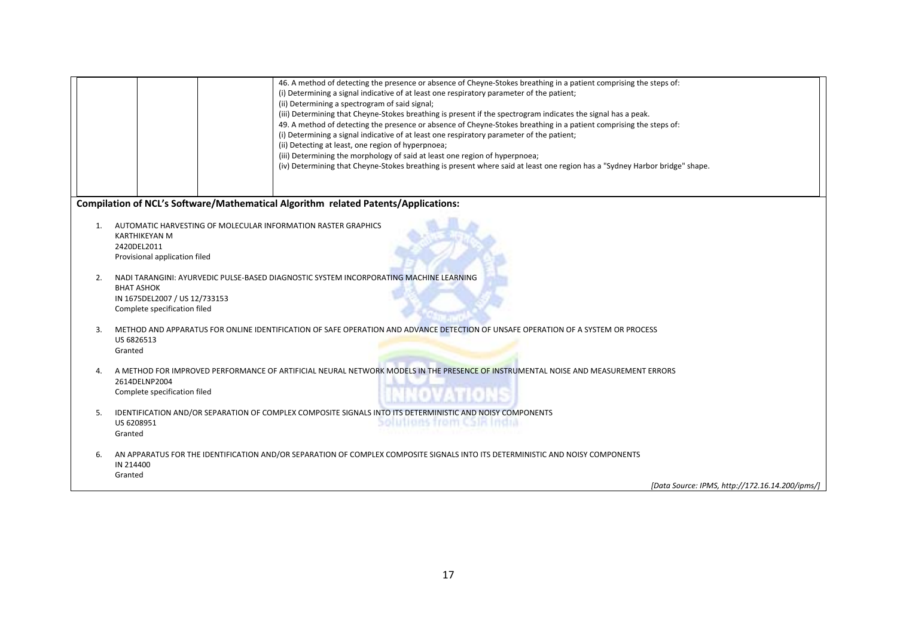|    | 46. A method of detecting the presence or absence of Cheyne-Stokes breathing in a patient comprising the steps of:<br>(i) Determining a signal indicative of at least one respiratory parameter of the patient;<br>(ii) Determining a spectrogram of said signal;<br>(iii) Determining that Cheyne-Stokes breathing is present if the spectrogram indicates the signal has a peak.<br>49. A method of detecting the presence or absence of Cheyne-Stokes breathing in a patient comprising the steps of:<br>(i) Determining a signal indicative of at least one respiratory parameter of the patient;<br>(ii) Detecting at least, one region of hyperpnoea;<br>(iii) Determining the morphology of said at least one region of hyperpnoea;<br>(iv) Determining that Cheyne-Stokes breathing is present where said at least one region has a "Sydney Harbor bridge" shape. |  |  |  |
|----|---------------------------------------------------------------------------------------------------------------------------------------------------------------------------------------------------------------------------------------------------------------------------------------------------------------------------------------------------------------------------------------------------------------------------------------------------------------------------------------------------------------------------------------------------------------------------------------------------------------------------------------------------------------------------------------------------------------------------------------------------------------------------------------------------------------------------------------------------------------------------|--|--|--|
|    | Compilation of NCL's Software/Mathematical Algorithm related Patents/Applications:                                                                                                                                                                                                                                                                                                                                                                                                                                                                                                                                                                                                                                                                                                                                                                                        |  |  |  |
| 1. | AUTOMATIC HARVESTING OF MOLECULAR INFORMATION RASTER GRAPHICS<br><b>KARTHIKEYAN M</b><br>2420DEL2011<br>Provisional application filed                                                                                                                                                                                                                                                                                                                                                                                                                                                                                                                                                                                                                                                                                                                                     |  |  |  |
| 2. | NADI TARANGINI: AYURVEDIC PULSE-BASED DIAGNOSTIC SYSTEM INCORPORATING MACHINE LEARNING<br><b>BHAT ASHOK</b><br>IN 1675DEL2007 / US 12/733153<br>Complete specification filed                                                                                                                                                                                                                                                                                                                                                                                                                                                                                                                                                                                                                                                                                              |  |  |  |
| 3. | METHOD AND APPARATUS FOR ONLINE IDENTIFICATION OF SAFE OPERATION AND ADVANCE DETECTION OF UNSAFE OPERATION OF A SYSTEM OR PROCESS<br>US 6826513<br>Granted                                                                                                                                                                                                                                                                                                                                                                                                                                                                                                                                                                                                                                                                                                                |  |  |  |
| 4. | A METHOD FOR IMPROVED PERFORMANCE OF ARTIFICIAL NEURAL NETWORK MODELS IN THE PRESENCE OF INSTRUMENTAL NOISE AND MEASUREMENT ERRORS<br>2614DELNP2004                                                                                                                                                                                                                                                                                                                                                                                                                                                                                                                                                                                                                                                                                                                       |  |  |  |
|    | Complete specification filed                                                                                                                                                                                                                                                                                                                                                                                                                                                                                                                                                                                                                                                                                                                                                                                                                                              |  |  |  |
| 5. | IDENTIFICATION AND/OR SEPARATION OF COMPLEX COMPOSITE SIGNALS INTO ITS DETERMINISTIC AND NOISY COMPONENTS<br>solutions from CSIX India<br>US 6208951<br>Granted                                                                                                                                                                                                                                                                                                                                                                                                                                                                                                                                                                                                                                                                                                           |  |  |  |
| 6. | AN APPARATUS FOR THE IDENTIFICATION AND/OR SEPARATION OF COMPLEX COMPOSITE SIGNALS INTO ITS DETERMINISTIC AND NOISY COMPONENTS<br>IN 214400<br>Granted                                                                                                                                                                                                                                                                                                                                                                                                                                                                                                                                                                                                                                                                                                                    |  |  |  |
|    | [Data Source: IPMS, http://172.16.14.200/ipms/]                                                                                                                                                                                                                                                                                                                                                                                                                                                                                                                                                                                                                                                                                                                                                                                                                           |  |  |  |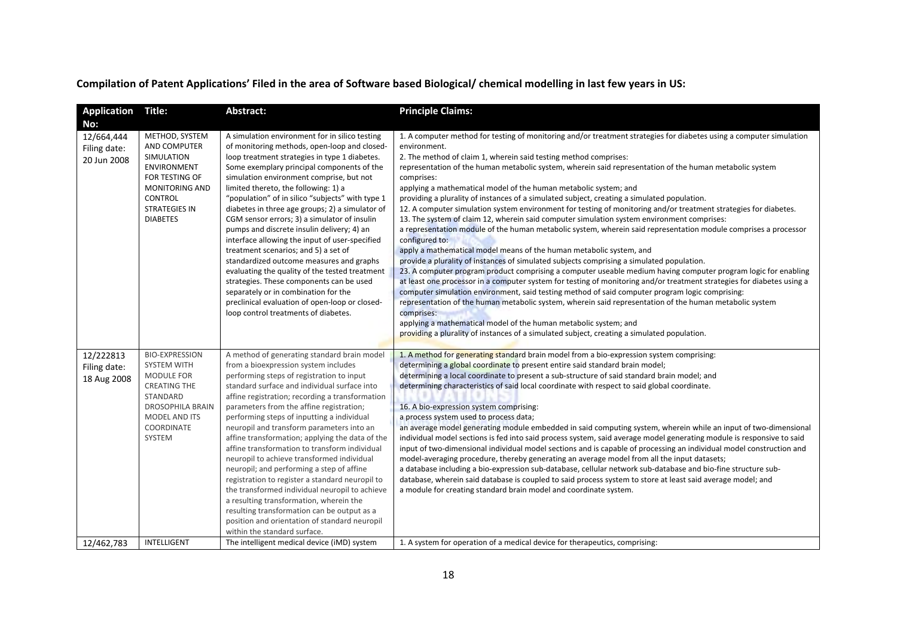## Compilation of Patent Applications' Filed in the area of Software based Biological/ chemical modelling in last few years in US:

| Application                                      | Title:                                                                                                                                                                     | Abstract:                                                                                                                                                                                                                                                                                                                                                                                                                                                                                                                                                                                                                                                                                                                                                                                                                                                    | <b>Principle Claims:</b>                                                                                                                                                                                                                                                                                                                                                                                                                                                                                                                                                                                                                                                                                                                                                                                                                                                                                                                                                                                                                                                                                                                                                                                                                                                                                                                                                                                                                                                                                                                                                                                                                                                  |
|--------------------------------------------------|----------------------------------------------------------------------------------------------------------------------------------------------------------------------------|--------------------------------------------------------------------------------------------------------------------------------------------------------------------------------------------------------------------------------------------------------------------------------------------------------------------------------------------------------------------------------------------------------------------------------------------------------------------------------------------------------------------------------------------------------------------------------------------------------------------------------------------------------------------------------------------------------------------------------------------------------------------------------------------------------------------------------------------------------------|---------------------------------------------------------------------------------------------------------------------------------------------------------------------------------------------------------------------------------------------------------------------------------------------------------------------------------------------------------------------------------------------------------------------------------------------------------------------------------------------------------------------------------------------------------------------------------------------------------------------------------------------------------------------------------------------------------------------------------------------------------------------------------------------------------------------------------------------------------------------------------------------------------------------------------------------------------------------------------------------------------------------------------------------------------------------------------------------------------------------------------------------------------------------------------------------------------------------------------------------------------------------------------------------------------------------------------------------------------------------------------------------------------------------------------------------------------------------------------------------------------------------------------------------------------------------------------------------------------------------------------------------------------------------------|
| No:<br>12/664,444<br>Filing date:<br>20 Jun 2008 | METHOD, SYSTEM<br>AND COMPUTER<br>SIMULATION<br><b>ENVIRONMENT</b><br>FOR TESTING OF<br><b>MONITORING AND</b><br><b>CONTROL</b><br><b>STRATEGIES IN</b><br><b>DIABETES</b> | A simulation environment for in silico testing<br>of monitoring methods, open-loop and closed-<br>loop treatment strategies in type 1 diabetes.<br>Some exemplary principal components of the<br>simulation environment comprise, but not<br>limited thereto, the following: 1) a<br>"population" of in silico "subjects" with type 1<br>diabetes in three age groups; 2) a simulator of<br>CGM sensor errors; 3) a simulator of insulin<br>pumps and discrete insulin delivery; 4) an<br>interface allowing the input of user-specified<br>treatment scenarios; and 5) a set of<br>standardized outcome measures and graphs<br>evaluating the quality of the tested treatment<br>strategies. These components can be used<br>separately or in combination for the<br>preclinical evaluation of open-loop or closed-<br>loop control treatments of diabetes. | 1. A computer method for testing of monitoring and/or treatment strategies for diabetes using a computer simulation<br>environment.<br>2. The method of claim 1, wherein said testing method comprises:<br>representation of the human metabolic system, wherein said representation of the human metabolic system<br>comprises:<br>applying a mathematical model of the human metabolic system; and<br>providing a plurality of instances of a simulated subject, creating a simulated population.<br>12. A computer simulation system environment for testing of monitoring and/or treatment strategies for diabetes.<br>13. The system of claim 12, wherein said computer simulation system environment comprises:<br>a representation module of the human metabolic system, wherein said representation module comprises a processor<br>configured to:<br>apply a mathematical model means of the human metabolic system, and<br>provide a plurality of instances of simulated subjects comprising a simulated population.<br>23. A computer program product comprising a computer useable medium having computer program logic for enabling<br>at least one processor in a computer system for testing of monitoring and/or treatment strategies for diabetes using a<br>computer simulation environment, said testing method of said computer program logic comprising:<br>representation of the human metabolic system, wherein said representation of the human metabolic system<br>comprises:<br>applying a mathematical model of the human metabolic system; and<br>providing a plurality of instances of a simulated subject, creating a simulated population. |
| 12/222813<br>Filing date:<br>18 Aug 2008         | <b>BIO-EXPRESSION</b><br>SYSTEM WITH<br>MODULE FOR<br><b>CREATING THE</b><br>STANDARD<br><b>DROSOPHILA BRAIN</b><br><b>MODEL AND ITS</b><br>COORDINATE<br>SYSTEM           | A method of generating standard brain model<br>from a bioexpression system includes<br>performing steps of registration to input<br>standard surface and individual surface into<br>affine registration; recording a transformation<br>parameters from the affine registration;<br>performing steps of inputting a individual<br>neuropil and transform parameters into an<br>affine transformation; applying the data of the<br>affine transformation to transform individual<br>neuropil to achieve transformed individual<br>neuropil; and performing a step of affine<br>registration to register a standard neuropil to<br>the transformed individual neuropil to achieve<br>a resulting transformation, wherein the<br>resulting transformation can be output as a<br>position and orientation of standard neuropil<br>within the standard surface.    | 1. A method for generating standard brain model from a bio-expression system comprising:<br>determining a global coordinate to present entire said standard brain model;<br>determining a local coordinate to present a sub-structure of said standard brain model; and<br>determining characteristics of said local coordinate with respect to said global coordinate.<br>16. A bio-expression system comprising:<br>a process system used to process data;<br>an average model generating module embedded in said computing system, wherein while an input of two-dimensional<br>individual model sections is fed into said process system, said average model generating module is responsive to said<br>input of two-dimensional individual model sections and is capable of processing an individual model construction and<br>model-averaging procedure, thereby generating an average model from all the input datasets;<br>a database including a bio-expression sub-database, cellular network sub-database and bio-fine structure sub-<br>database, wherein said database is coupled to said process system to store at least said average model; and<br>a module for creating standard brain model and coordinate system.                                                                                                                                                                                                                                                                                                                                                                                                                                      |
| 12/462,783                                       | INTELLIGENT                                                                                                                                                                | The intelligent medical device (iMD) system                                                                                                                                                                                                                                                                                                                                                                                                                                                                                                                                                                                                                                                                                                                                                                                                                  | 1. A system for operation of a medical device for therapeutics, comprising:                                                                                                                                                                                                                                                                                                                                                                                                                                                                                                                                                                                                                                                                                                                                                                                                                                                                                                                                                                                                                                                                                                                                                                                                                                                                                                                                                                                                                                                                                                                                                                                               |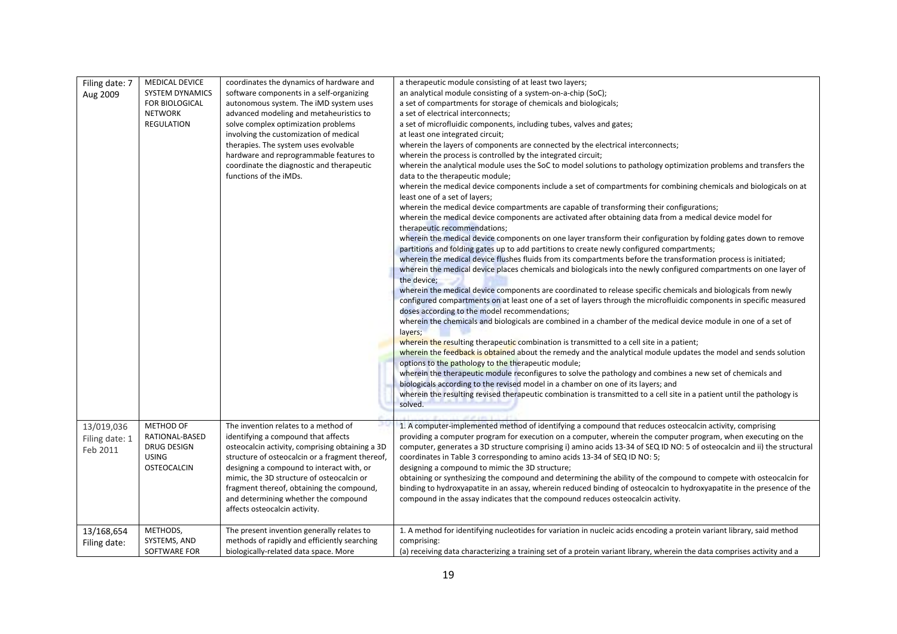| Filing date: 7 | <b>MEDICAL DEVICE</b>  | coordinates the dynamics of hardware and                            | a therapeutic module consisting of at least two layers;                                                                                            |
|----------------|------------------------|---------------------------------------------------------------------|----------------------------------------------------------------------------------------------------------------------------------------------------|
| Aug 2009       | <b>SYSTEM DYNAMICS</b> | software components in a self-organizing                            | an analytical module consisting of a system-on-a-chip (SoC);                                                                                       |
|                | FOR BIOLOGICAL         | autonomous system. The iMD system uses                              | a set of compartments for storage of chemicals and biologicals;                                                                                    |
|                | <b>NETWORK</b>         | advanced modeling and metaheuristics to                             | a set of electrical interconnects;                                                                                                                 |
|                | <b>REGULATION</b>      | solve complex optimization problems                                 | a set of microfluidic components, including tubes, valves and gates;                                                                               |
|                |                        | involving the customization of medical                              | at least one integrated circuit;                                                                                                                   |
|                |                        | therapies. The system uses evolvable                                | wherein the layers of components are connected by the electrical interconnects;                                                                    |
|                |                        | hardware and reprogrammable features to                             | wherein the process is controlled by the integrated circuit;                                                                                       |
|                |                        | coordinate the diagnostic and therapeutic<br>functions of the iMDs. | wherein the analytical module uses the SoC to model solutions to pathology optimization problems and transfers the                                 |
|                |                        |                                                                     | data to the therapeutic module;                                                                                                                    |
|                |                        |                                                                     | wherein the medical device components include a set of compartments for combining chemicals and biologicals on at<br>least one of a set of layers; |
|                |                        |                                                                     | wherein the medical device compartments are capable of transforming their configurations;                                                          |
|                |                        |                                                                     | wherein the medical device components are activated after obtaining data from a medical device model for                                           |
|                |                        |                                                                     | therapeutic recommendations;                                                                                                                       |
|                |                        |                                                                     | wherein the medical device components on one layer transform their configuration by folding gates down to remove                                   |
|                |                        |                                                                     | partitions and folding gates up to add partitions to create newly configured compartments;                                                         |
|                |                        |                                                                     | wherein the medical device flushes fluids from its compartments before the transformation process is initiated;                                    |
|                |                        |                                                                     | wherein the medical device places chemicals and biologicals into the newly configured compartments on one layer of                                 |
|                |                        |                                                                     | the device;                                                                                                                                        |
|                |                        |                                                                     | wherein the medical device components are coordinated to release specific chemicals and biologicals from newly                                     |
|                |                        |                                                                     | configured compartments on at least one of a set of layers through the microfluidic components in specific measured                                |
|                |                        |                                                                     | doses according to the model recommendations;                                                                                                      |
|                |                        |                                                                     | wherein the chemicals and biologicals are combined in a chamber of the medical device module in one of a set of                                    |
|                |                        |                                                                     | layers;                                                                                                                                            |
|                |                        |                                                                     | wherein the resulting therapeutic combination is transmitted to a cell site in a patient;                                                          |
|                |                        |                                                                     | wherein the feedback is obtained about the remedy and the analytical module updates the model and sends solution                                   |
|                |                        |                                                                     | options to the pathology to the therapeutic module;                                                                                                |
|                |                        |                                                                     | wherein the therapeutic module reconfigures to solve the pathology and combines a new set of chemicals and                                         |
|                |                        |                                                                     | biologicals according to the revised model in a chamber on one of its layers; and                                                                  |
|                |                        |                                                                     | wherein the resulting revised therapeutic combination is transmitted to a cell site in a patient until the pathology is                            |
|                |                        |                                                                     | solved.                                                                                                                                            |
|                |                        |                                                                     |                                                                                                                                                    |
| 13/019,036     | METHOD OF              | The invention relates to a method of                                | 1. A computer-implemented method of identifying a compound that reduces osteocalcin activity, comprising                                           |
| Filing date: 1 | RATIONAL-BASED         | identifying a compound that affects                                 | providing a computer program for execution on a computer, wherein the computer program, when executing on the                                      |
| Feb 2011       | DRUG DESIGN            | osteocalcin activity, comprising obtaining a 3D                     | computer, generates a 3D structure comprising i) amino acids 13-34 of SEQ ID NO: 5 of osteocalcin and ii) the structural                           |
|                | <b>USING</b>           | structure of osteocalcin or a fragment thereof,                     | coordinates in Table 3 corresponding to amino acids 13-34 of SEQ ID NO: 5;                                                                         |
|                | OSTEOCALCIN            | designing a compound to interact with, or                           | designing a compound to mimic the 3D structure;                                                                                                    |
|                |                        | mimic, the 3D structure of osteocalcin or                           | obtaining or synthesizing the compound and determining the ability of the compound to compete with osteocalcin for                                 |
|                |                        | fragment thereof, obtaining the compound,                           | binding to hydroxyapatite in an assay, wherein reduced binding of osteocalcin to hydroxyapatite in the presence of the                             |
|                |                        | and determining whether the compound                                | compound in the assay indicates that the compound reduces osteocalcin activity.                                                                    |
|                |                        | affects osteocalcin activity.                                       |                                                                                                                                                    |
|                |                        |                                                                     |                                                                                                                                                    |
| 13/168,654     | METHODS,               | The present invention generally relates to                          | 1. A method for identifying nucleotides for variation in nucleic acids encoding a protein variant library, said method                             |
| Filing date:   | SYSTEMS, AND           | methods of rapidly and efficiently searching                        | comprising:                                                                                                                                        |
|                | SOFTWARE FOR           | biologically-related data space. More                               | (a) receiving data characterizing a training set of a protein variant library, wherein the data comprises activity and a                           |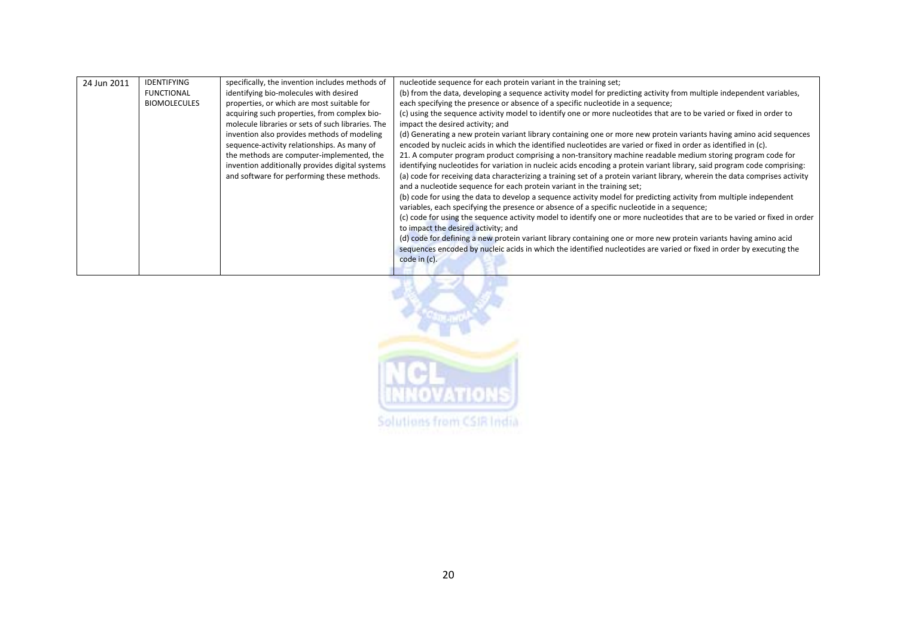| 24 Jun 2011 | <b>IDENTIFYING</b><br><b>FUNCTIONAL</b><br><b>BIOMOLECULES</b> | specifically, the invention includes methods of<br>identifying bio-molecules with desired<br>properties, or which are most suitable for<br>acquiring such properties, from complex bio-<br>molecule libraries or sets of such libraries. The<br>invention also provides methods of modeling<br>sequence-activity relationships. As many of<br>the methods are computer-implemented, the<br>invention additionally provides digital systems<br>and software for performing these methods. | nucleotide sequence for each protein variant in the training set;<br>(b) from the data, developing a sequence activity model for predicting activity from multiple independent variables,<br>each specifying the presence or absence of a specific nucleotide in a sequence;<br>(c) using the sequence activity model to identify one or more nucleotides that are to be varied or fixed in order to<br>impact the desired activity; and<br>(d) Generating a new protein variant library containing one or more new protein variants having amino acid sequences<br>encoded by nucleic acids in which the identified nucleotides are varied or fixed in order as identified in (c).<br>21. A computer program product comprising a non-transitory machine readable medium storing program code for<br>identifying nucleotides for variation in nucleic acids encoding a protein variant library, said program code comprising:<br>(a) code for receiving data characterizing a training set of a protein variant library, wherein the data comprises activity<br>and a nucleotide sequence for each protein variant in the training set;<br>(b) code for using the data to develop a sequence activity model for predicting activity from multiple independent<br>variables, each specifying the presence or absence of a specific nucleotide in a sequence;<br>(c) code for using the sequence activity model to identify one or more nucleotides that are to be varied or fixed in order<br>to impact the desired activity; and<br>(d) code for defining a new protein variant library containing one or more new protein variants having amino acid<br>sequences encoded by nucleic acids in which the identified nucleotides are varied or fixed in order by executing the<br>code in (c). |
|-------------|----------------------------------------------------------------|------------------------------------------------------------------------------------------------------------------------------------------------------------------------------------------------------------------------------------------------------------------------------------------------------------------------------------------------------------------------------------------------------------------------------------------------------------------------------------------|------------------------------------------------------------------------------------------------------------------------------------------------------------------------------------------------------------------------------------------------------------------------------------------------------------------------------------------------------------------------------------------------------------------------------------------------------------------------------------------------------------------------------------------------------------------------------------------------------------------------------------------------------------------------------------------------------------------------------------------------------------------------------------------------------------------------------------------------------------------------------------------------------------------------------------------------------------------------------------------------------------------------------------------------------------------------------------------------------------------------------------------------------------------------------------------------------------------------------------------------------------------------------------------------------------------------------------------------------------------------------------------------------------------------------------------------------------------------------------------------------------------------------------------------------------------------------------------------------------------------------------------------------------------------------------------------------------------------------------------------------------------------------------------------|
|-------------|----------------------------------------------------------------|------------------------------------------------------------------------------------------------------------------------------------------------------------------------------------------------------------------------------------------------------------------------------------------------------------------------------------------------------------------------------------------------------------------------------------------------------------------------------------------|------------------------------------------------------------------------------------------------------------------------------------------------------------------------------------------------------------------------------------------------------------------------------------------------------------------------------------------------------------------------------------------------------------------------------------------------------------------------------------------------------------------------------------------------------------------------------------------------------------------------------------------------------------------------------------------------------------------------------------------------------------------------------------------------------------------------------------------------------------------------------------------------------------------------------------------------------------------------------------------------------------------------------------------------------------------------------------------------------------------------------------------------------------------------------------------------------------------------------------------------------------------------------------------------------------------------------------------------------------------------------------------------------------------------------------------------------------------------------------------------------------------------------------------------------------------------------------------------------------------------------------------------------------------------------------------------------------------------------------------------------------------------------------------------|